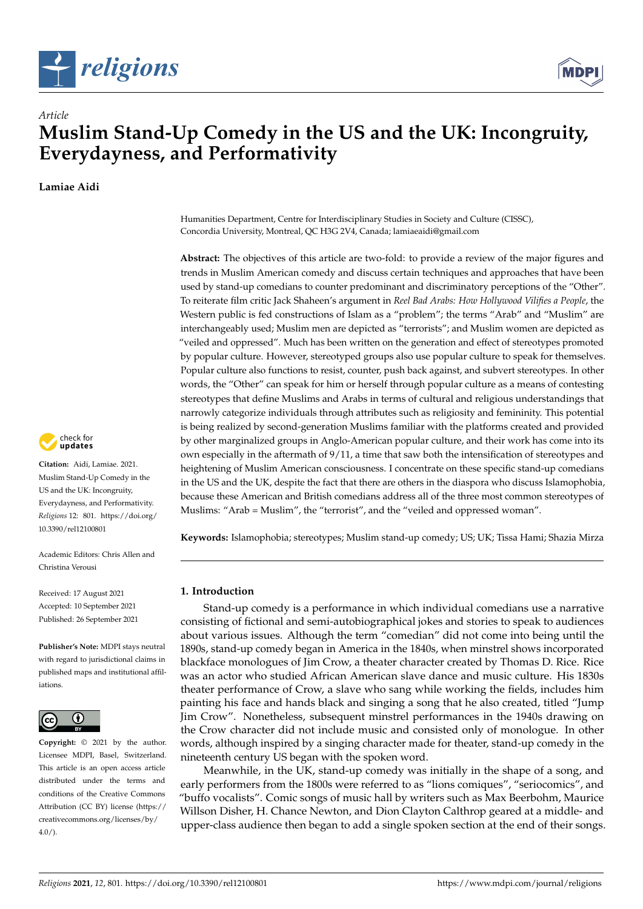



# **Muslim Stand-Up Comedy in the US and the UK: Incongruity, Everydayness, and Performativity**

**Lamiae Aidi**

*Article*



**Citation:** Aidi, Lamiae. 2021. Muslim Stand-Up Comedy in the US and the UK: Incongruity, Everydayness, and Performativity. *Religions* 12: 801. [https://doi.org/](https://doi.org/10.3390/rel12100801) [10.3390/rel12100801](https://doi.org/10.3390/rel12100801)

Academic Editors: Chris Allen and Christina Verousi

Received: 17 August 2021 Accepted: 10 September 2021 Published: 26 September 2021

**Publisher's Note:** MDPI stays neutral with regard to jurisdictional claims in published maps and institutional affiliations.



**Copyright:** © 2021 by the author. Licensee MDPI, Basel, Switzerland. This article is an open access article distributed under the terms and conditions of the Creative Commons Attribution (CC BY) license (https:/[/](https://creativecommons.org/licenses/by/4.0/) [creativecommons.org/licenses/by/](https://creativecommons.org/licenses/by/4.0/)  $4.0/$ ).

Humanities Department, Centre for Interdisciplinary Studies in Society and Culture (CISSC), Concordia University, Montreal, QC H3G 2V4, Canada; lamiaeaidi@gmail.com

**Abstract:** The objectives of this article are two-fold: to provide a review of the major figures and trends in Muslim American comedy and discuss certain techniques and approaches that have been used by stand-up comedians to counter predominant and discriminatory perceptions of the "Other". To reiterate film critic Jack Shaheen's argument in *Reel Bad Arabs: How Hollywood Vilifies a People*, the Western public is fed constructions of Islam as a "problem"; the terms "Arab" and "Muslim" are interchangeably used; Muslim men are depicted as "terrorists"; and Muslim women are depicted as "veiled and oppressed". Much has been written on the generation and effect of stereotypes promoted by popular culture. However, stereotyped groups also use popular culture to speak for themselves. Popular culture also functions to resist, counter, push back against, and subvert stereotypes. In other words, the "Other" can speak for him or herself through popular culture as a means of contesting stereotypes that define Muslims and Arabs in terms of cultural and religious understandings that narrowly categorize individuals through attributes such as religiosity and femininity. This potential is being realized by second-generation Muslims familiar with the platforms created and provided by other marginalized groups in Anglo-American popular culture, and their work has come into its own especially in the aftermath of 9/11, a time that saw both the intensification of stereotypes and heightening of Muslim American consciousness. I concentrate on these specific stand-up comedians in the US and the UK, despite the fact that there are others in the diaspora who discuss Islamophobia, because these American and British comedians address all of the three most common stereotypes of Muslims: "Arab = Muslim", the "terrorist", and the "veiled and oppressed woman".

**Keywords:** Islamophobia; stereotypes; Muslim stand-up comedy; US; UK; Tissa Hami; Shazia Mirza

## **1. Introduction**

Stand-up comedy is a performance in which individual comedians use a narrative consisting of fictional and semi-autobiographical jokes and stories to speak to audiences about various issues. Although the term "comedian" did not come into being until the 1890s, stand-up comedy began in America in the 1840s, when minstrel shows incorporated blackface monologues of Jim Crow, a theater character created by Thomas D. Rice. Rice was an actor who studied African American slave dance and music culture. His 1830s theater performance of Crow, a slave who sang while working the fields, includes him painting his face and hands black and singing a song that he also created, titled "Jump Jim Crow". Nonetheless, subsequent minstrel performances in the 1940s drawing on the Crow character did not include music and consisted only of monologue. In other words, although inspired by a singing character made for theater, stand-up comedy in the nineteenth century US began with the spoken word.

Meanwhile, in the UK, stand-up comedy was initially in the shape of a song, and early performers from the 1800s were referred to as "lions comiques", "seriocomics", and "buffo vocalists". Comic songs of music hall by writers such as Max Beerbohm, Maurice Willson Disher, H. Chance Newton, and Dion Clayton Calthrop geared at a middle- and upper-class audience then began to add a single spoken section at the end of their songs.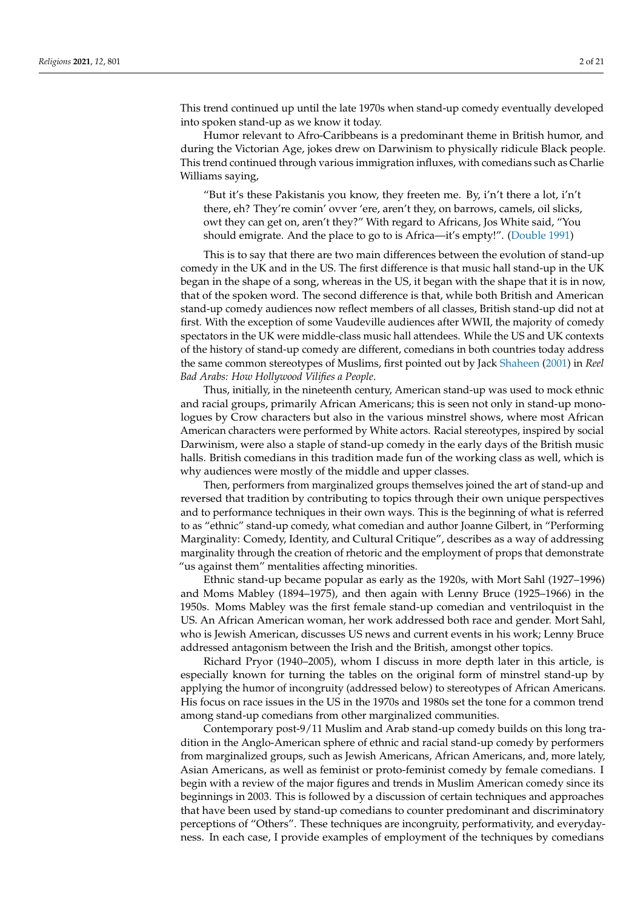This trend continued up until the late 1970s when stand-up comedy eventually developed into spoken stand-up as we know it today.

Humor relevant to Afro-Caribbeans is a predominant theme in British humor, and during the Victorian Age, jokes drew on Darwinism to physically ridicule Black people. This trend continued through various immigration influxes, with comedians such as Charlie Williams saying,

"But it's these Pakistanis you know, they freeten me. By, i'n't there a lot, i'n't there, eh? They're comin' ovver 'ere, aren't they, on barrows, camels, oil slicks, owt they can get on, aren't they?" With regard to Africans, Jos White said, "You should emigrate. And the place to go to is Africa—it's empty!". [\(Double](#page-19-0) [1991\)](#page-19-0)

This is to say that there are two main differences between the evolution of stand-up comedy in the UK and in the US. The first difference is that music hall stand-up in the UK began in the shape of a song, whereas in the US, it began with the shape that it is in now, that of the spoken word. The second difference is that, while both British and American stand-up comedy audiences now reflect members of all classes, British stand-up did not at first. With the exception of some Vaudeville audiences after WWII, the majority of comedy spectators in the UK were middle-class music hall attendees. While the US and UK contexts of the history of stand-up comedy are different, comedians in both countries today address the same common stereotypes of Muslims, first pointed out by Jack [Shaheen](#page-20-0) [\(2001\)](#page-20-0) in *Reel Bad Arabs: How Hollywood Vilifies a People*.

Thus, initially, in the nineteenth century, American stand-up was used to mock ethnic and racial groups, primarily African Americans; this is seen not only in stand-up monologues by Crow characters but also in the various minstrel shows, where most African American characters were performed by White actors. Racial stereotypes, inspired by social Darwinism, were also a staple of stand-up comedy in the early days of the British music halls. British comedians in this tradition made fun of the working class as well, which is why audiences were mostly of the middle and upper classes.

Then, performers from marginalized groups themselves joined the art of stand-up and reversed that tradition by contributing to topics through their own unique perspectives and to performance techniques in their own ways. This is the beginning of what is referred to as "ethnic" stand-up comedy, what comedian and author Joanne Gilbert, in "Performing Marginality: Comedy, Identity, and Cultural Critique", describes as a way of addressing marginality through the creation of rhetoric and the employment of props that demonstrate "us against them" mentalities affecting minorities.

Ethnic stand-up became popular as early as the 1920s, with Mort Sahl (1927–1996) and Moms Mabley (1894–1975), and then again with Lenny Bruce (1925–1966) in the 1950s. Moms Mabley was the first female stand-up comedian and ventriloquist in the US. An African American woman, her work addressed both race and gender. Mort Sahl, who is Jewish American, discusses US news and current events in his work; Lenny Bruce addressed antagonism between the Irish and the British, amongst other topics.

Richard Pryor (1940–2005), whom I discuss in more depth later in this article, is especially known for turning the tables on the original form of minstrel stand-up by applying the humor of incongruity (addressed below) to stereotypes of African Americans. His focus on race issues in the US in the 1970s and 1980s set the tone for a common trend among stand-up comedians from other marginalized communities.

Contemporary post-9/11 Muslim and Arab stand-up comedy builds on this long tradition in the Anglo-American sphere of ethnic and racial stand-up comedy by performers from marginalized groups, such as Jewish Americans, African Americans, and, more lately, Asian Americans, as well as feminist or proto-feminist comedy by female comedians. I begin with a review of the major figures and trends in Muslim American comedy since its beginnings in 2003. This is followed by a discussion of certain techniques and approaches that have been used by stand-up comedians to counter predominant and discriminatory perceptions of "Others". These techniques are incongruity, performativity, and everydayness. In each case, I provide examples of employment of the techniques by comedians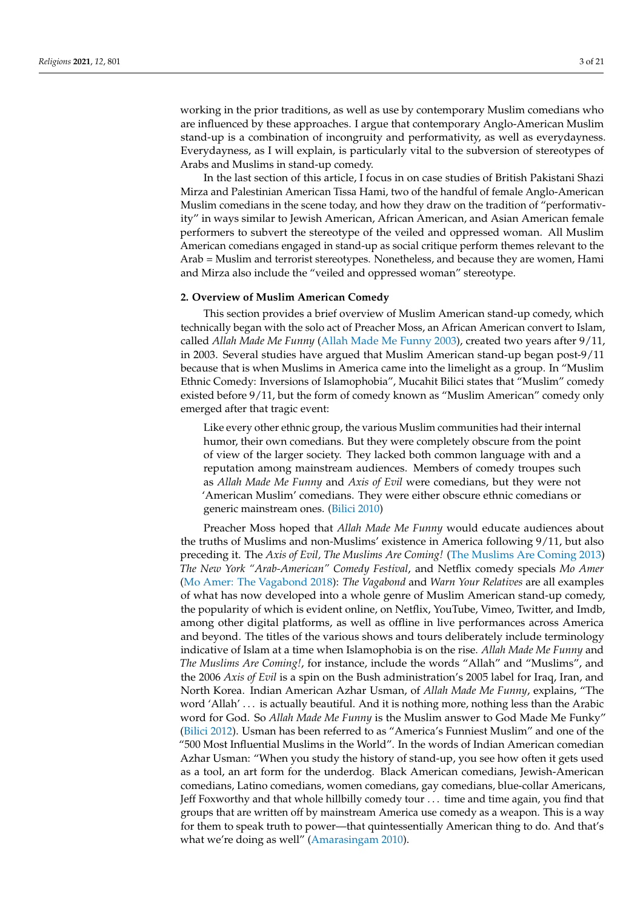working in the prior traditions, as well as use by contemporary Muslim comedians who are influenced by these approaches. I argue that contemporary Anglo-American Muslim stand-up is a combination of incongruity and performativity, as well as everydayness. Everydayness, as I will explain, is particularly vital to the subversion of stereotypes of Arabs and Muslims in stand-up comedy.

In the last section of this article, I focus in on case studies of British Pakistani Shazi Mirza and Palestinian American Tissa Hami, two of the handful of female Anglo-American Muslim comedians in the scene today, and how they draw on the tradition of "performativity" in ways similar to Jewish American, African American, and Asian American female performers to subvert the stereotype of the veiled and oppressed woman. All Muslim American comedians engaged in stand-up as social critique perform themes relevant to the Arab = Muslim and terrorist stereotypes. Nonetheless, and because they are women, Hami and Mirza also include the "veiled and oppressed woman" stereotype.

#### **2. Overview of Muslim American Comedy**

This section provides a brief overview of Muslim American stand-up comedy, which technically began with the solo act of Preacher Moss, an African American convert to Islam, called *Allah Made Me Funny* [\(Allah Made Me Funny](#page-19-1) [2003\)](#page-19-1), created two years after 9/11, in 2003. Several studies have argued that Muslim American stand-up began post-9/11 because that is when Muslims in America came into the limelight as a group. In "Muslim Ethnic Comedy: Inversions of Islamophobia", Mucahit Bilici states that "Muslim" comedy existed before 9/11, but the form of comedy known as "Muslim American" comedy only emerged after that tragic event:

Like every other ethnic group, the various Muslim communities had their internal humor, their own comedians. But they were completely obscure from the point of view of the larger society. They lacked both common language with and a reputation among mainstream audiences. Members of comedy troupes such as *Allah Made Me Funny* and *Axis of Evil* were comedians, but they were not 'American Muslim' comedians. They were either obscure ethnic comedians or generic mainstream ones. [\(Bilici](#page-19-2) [2010\)](#page-19-2)

Preacher Moss hoped that *Allah Made Me Funny* would educate audiences about the truths of Muslims and non-Muslims' existence in America following 9/11, but also preceding it. The *Axis of Evil, The Muslims Are Coming!* [\(The Muslims Are Coming](#page-20-1) [2013\)](#page-20-1) *The New York "Arab-American" Comedy Festival*, and Netflix comedy specials *Mo Amer* [\(Mo Amer: The Vagabond](#page-20-2) [2018\)](#page-20-2): *The Vagabond* and *Warn Your Relatives* are all examples of what has now developed into a whole genre of Muslim American stand-up comedy, the popularity of which is evident online, on Netflix, YouTube, Vimeo, Twitter, and Imdb, among other digital platforms, as well as offline in live performances across America and beyond. The titles of the various shows and tours deliberately include terminology indicative of Islam at a time when Islamophobia is on the rise. *Allah Made Me Funny* and *The Muslims Are Coming!*, for instance, include the words "Allah" and "Muslims", and the 2006 *Axis of Evil* is a spin on the Bush administration's 2005 label for Iraq, Iran, and North Korea. Indian American Azhar Usman, of *Allah Made Me Funny*, explains, "The word 'Allah' . . . is actually beautiful. And it is nothing more, nothing less than the Arabic word for God. So *Allah Made Me Funny* is the Muslim answer to God Made Me Funky" [\(Bilici](#page-19-3) [2012\)](#page-19-3). Usman has been referred to as "America's Funniest Muslim" and one of the "500 Most Influential Muslims in the World". In the words of Indian American comedian Azhar Usman: "When you study the history of stand-up, you see how often it gets used as a tool, an art form for the underdog. Black American comedians, Jewish-American comedians, Latino comedians, women comedians, gay comedians, blue-collar Americans, Jeff Foxworthy and that whole hillbilly comedy tour . . . time and time again, you find that groups that are written off by mainstream America use comedy as a weapon. This is a way for them to speak truth to power—that quintessentially American thing to do. And that's what we're doing as well" [\(Amarasingam](#page-19-4) [2010\)](#page-19-4).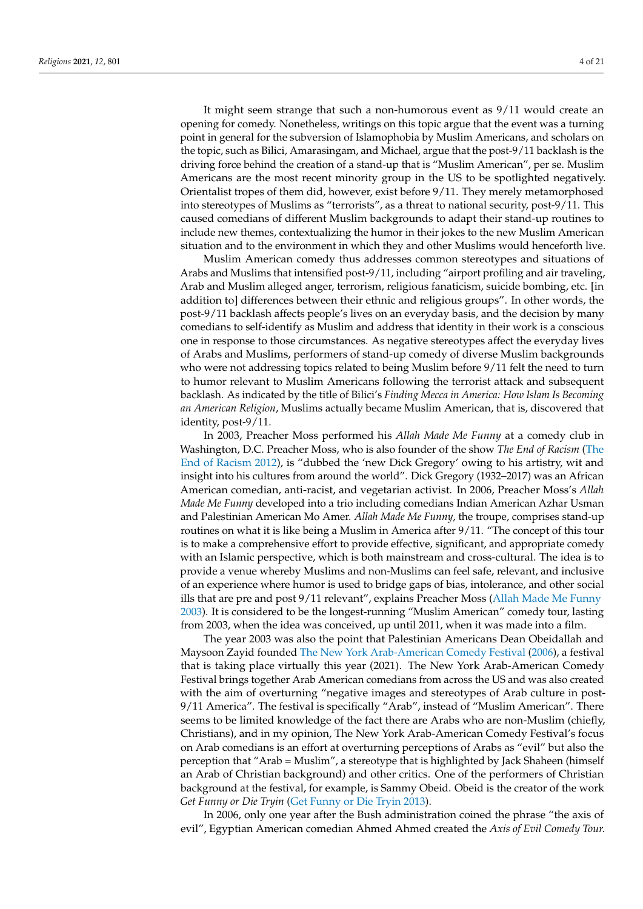It might seem strange that such a non-humorous event as 9/11 would create an opening for comedy. Nonetheless, writings on this topic argue that the event was a turning point in general for the subversion of Islamophobia by Muslim Americans, and scholars on the topic, such as Bilici, Amarasingam, and Michael, argue that the post-9/11 backlash is the driving force behind the creation of a stand-up that is "Muslim American", per se. Muslim Americans are the most recent minority group in the US to be spotlighted negatively. Orientalist tropes of them did, however, exist before 9/11. They merely metamorphosed into stereotypes of Muslims as "terrorists", as a threat to national security, post-9/11. This caused comedians of different Muslim backgrounds to adapt their stand-up routines to include new themes, contextualizing the humor in their jokes to the new Muslim American situation and to the environment in which they and other Muslims would henceforth live.

Muslim American comedy thus addresses common stereotypes and situations of Arabs and Muslims that intensified post-9/11, including "airport profiling and air traveling, Arab and Muslim alleged anger, terrorism, religious fanaticism, suicide bombing, etc. [in addition to] differences between their ethnic and religious groups". In other words, the post-9/11 backlash affects people's lives on an everyday basis, and the decision by many comedians to self-identify as Muslim and address that identity in their work is a conscious one in response to those circumstances. As negative stereotypes affect the everyday lives of Arabs and Muslims, performers of stand-up comedy of diverse Muslim backgrounds who were not addressing topics related to being Muslim before 9/11 felt the need to turn to humor relevant to Muslim Americans following the terrorist attack and subsequent backlash. As indicated by the title of Bilici's *Finding Mecca in America: How Islam Is Becoming an American Religion*, Muslims actually became Muslim American, that is, discovered that identity, post-9/11.

In 2003, Preacher Moss performed his *Allah Made Me Funny* at a comedy club in Washington, D.C. Preacher Moss, who is also founder of the show *The End of Racism* [\(The](#page-20-3) [End of Racism](#page-20-3) [2012\)](#page-20-3), is "dubbed the 'new Dick Gregory' owing to his artistry, wit and insight into his cultures from around the world". Dick Gregory (1932–2017) was an African American comedian, anti-racist, and vegetarian activist. In 2006, Preacher Moss's *Allah Made Me Funny* developed into a trio including comedians Indian American Azhar Usman and Palestinian American Mo Amer. *Allah Made Me Funny*, the troupe, comprises stand-up routines on what it is like being a Muslim in America after 9/11. "The concept of this tour is to make a comprehensive effort to provide effective, significant, and appropriate comedy with an Islamic perspective, which is both mainstream and cross-cultural. The idea is to provide a venue whereby Muslims and non-Muslims can feel safe, relevant, and inclusive of an experience where humor is used to bridge gaps of bias, intolerance, and other social ills that are pre and post 9/11 relevant", explains Preacher Moss [\(Allah Made Me Funny](#page-19-1) [2003\)](#page-19-1). It is considered to be the longest-running "Muslim American" comedy tour, lasting from 2003, when the idea was conceived, up until 2011, when it was made into a film.

The year 2003 was also the point that Palestinian Americans Dean Obeidallah and Maysoon Zayid founded [The New York Arab-American Comedy Festival](#page-20-4) [\(2006\)](#page-20-4), a festival that is taking place virtually this year (2021). The New York Arab-American Comedy Festival brings together Arab American comedians from across the US and was also created with the aim of overturning "negative images and stereotypes of Arab culture in post-9/11 America". The festival is specifically "Arab", instead of "Muslim American". There seems to be limited knowledge of the fact there are Arabs who are non-Muslim (chiefly, Christians), and in my opinion, The New York Arab-American Comedy Festival's focus on Arab comedians is an effort at overturning perceptions of Arabs as "evil" but also the perception that "Arab = Muslim", a stereotype that is highlighted by Jack Shaheen (himself an Arab of Christian background) and other critics. One of the performers of Christian background at the festival, for example, is Sammy Obeid. Obeid is the creator of the work *Get Funny or Die Tryin* [\(Get Funny or Die Tryin](#page-19-5) [2013\)](#page-19-5).

In 2006, only one year after the Bush administration coined the phrase "the axis of evil", Egyptian American comedian Ahmed Ahmed created the *Axis of Evil Comedy Tour.*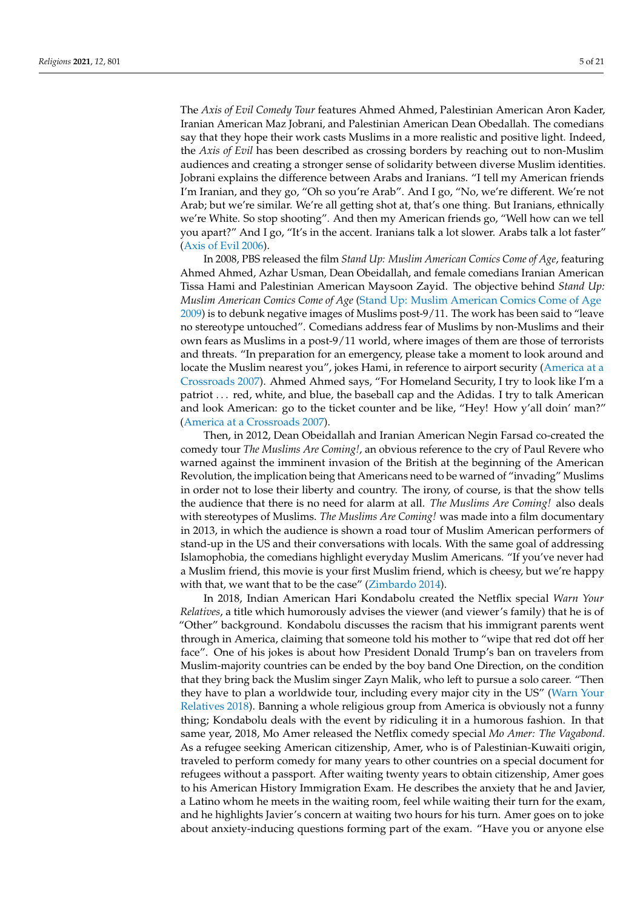The *Axis of Evil Comedy Tour* features Ahmed Ahmed, Palestinian American Aron Kader, Iranian American Maz Jobrani, and Palestinian American Dean Obedallah. The comedians say that they hope their work casts Muslims in a more realistic and positive light. Indeed, the *Axis of Evil* has been described as crossing borders by reaching out to non-Muslim audiences and creating a stronger sense of solidarity between diverse Muslim identities. Jobrani explains the difference between Arabs and Iranians. "I tell my American friends I'm Iranian, and they go, "Oh so you're Arab". And I go, "No, we're different. We're not Arab; but we're similar. We're all getting shot at, that's one thing. But Iranians, ethnically we're White. So stop shooting". And then my American friends go, "Well how can we tell you apart?" And I go, "It's in the accent. Iranians talk a lot slower. Arabs talk a lot faster" [\(Axis of Evil](#page-19-6) [2006\)](#page-19-6).

In 2008, PBS released the film *Stand Up: Muslim American Comics Come of Age*, featuring Ahmed Ahmed, Azhar Usman, Dean Obeidallah, and female comedians Iranian American Tissa Hami and Palestinian American Maysoon Zayid. The objective behind *Stand Up: Muslim American Comics Come of Age* [\(Stand Up: Muslim American Comics Come of Age](#page-20-5) [2009\)](#page-20-5) is to debunk negative images of Muslims post-9/11. The work has been said to "leave no stereotype untouched". Comedians address fear of Muslims by non-Muslims and their own fears as Muslims in a post-9/11 world, where images of them are those of terrorists and threats. "In preparation for an emergency, please take a moment to look around and locate the Muslim nearest you", jokes Hami, in reference to airport security [\(America at a](#page-19-7) [Crossroads](#page-19-7) [2007\)](#page-19-7). Ahmed Ahmed says, "For Homeland Security, I try to look like I'm a patriot . . . red, white, and blue, the baseball cap and the Adidas. I try to talk American and look American: go to the ticket counter and be like, "Hey! How y'all doin' man?" [\(America at a Crossroads](#page-19-7) [2007\)](#page-19-7).

Then, in 2012, Dean Obeidallah and Iranian American Negin Farsad co-created the comedy tour *The Muslims Are Coming!*, an obvious reference to the cry of Paul Revere who warned against the imminent invasion of the British at the beginning of the American Revolution, the implication being that Americans need to be warned of "invading" Muslims in order not to lose their liberty and country. The irony, of course, is that the show tells the audience that there is no need for alarm at all. *The Muslims Are Coming!* also deals with stereotypes of Muslims. *The Muslims Are Coming!* was made into a film documentary in 2013, in which the audience is shown a road tour of Muslim American performers of stand-up in the US and their conversations with locals. With the same goal of addressing Islamophobia, the comedians highlight everyday Muslim Americans. "If you've never had a Muslim friend, this movie is your first Muslim friend, which is cheesy, but we're happy with that, we want that to be the case" [\(Zimbardo](#page-20-6) [2014\)](#page-20-6).

In 2018, Indian American Hari Kondabolu created the Netflix special *Warn Your Relatives*, a title which humorously advises the viewer (and viewer's family) that he is of "Other" background. Kondabolu discusses the racism that his immigrant parents went through in America, claiming that someone told his mother to "wipe that red dot off her face". One of his jokes is about how President Donald Trump's ban on travelers from Muslim-majority countries can be ended by the boy band One Direction, on the condition that they bring back the Muslim singer Zayn Malik, who left to pursue a solo career. "Then they have to plan a worldwide tour, including every major city in the US" [\(Warn Your](#page-20-7) [Relatives](#page-20-7) [2018\)](#page-20-7). Banning a whole religious group from America is obviously not a funny thing; Kondabolu deals with the event by ridiculing it in a humorous fashion. In that same year, 2018, Mo Amer released the Netflix comedy special *Mo Amer: The Vagabond.* As a refugee seeking American citizenship, Amer, who is of Palestinian-Kuwaiti origin, traveled to perform comedy for many years to other countries on a special document for refugees without a passport. After waiting twenty years to obtain citizenship, Amer goes to his American History Immigration Exam. He describes the anxiety that he and Javier, a Latino whom he meets in the waiting room, feel while waiting their turn for the exam, and he highlights Javier's concern at waiting two hours for his turn. Amer goes on to joke about anxiety-inducing questions forming part of the exam. "Have you or anyone else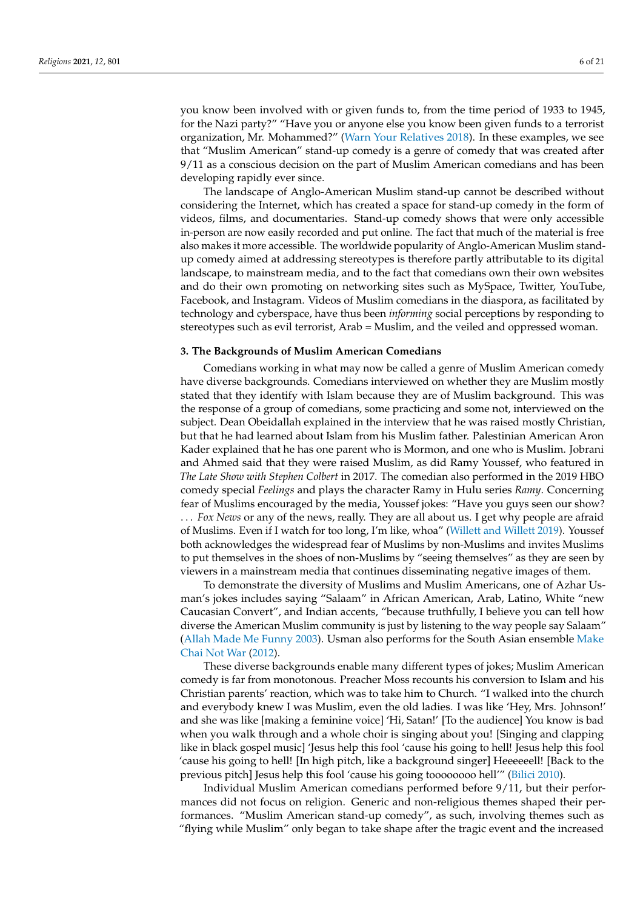you know been involved with or given funds to, from the time period of 1933 to 1945, for the Nazi party?" "Have you or anyone else you know been given funds to a terrorist organization, Mr. Mohammed?" [\(Warn Your Relatives](#page-20-7) [2018\)](#page-20-7). In these examples, we see that "Muslim American" stand-up comedy is a genre of comedy that was created after 9/11 as a conscious decision on the part of Muslim American comedians and has been developing rapidly ever since.

The landscape of Anglo-American Muslim stand-up cannot be described without considering the Internet, which has created a space for stand-up comedy in the form of videos, films, and documentaries. Stand-up comedy shows that were only accessible in-person are now easily recorded and put online. The fact that much of the material is free also makes it more accessible. The worldwide popularity of Anglo-American Muslim standup comedy aimed at addressing stereotypes is therefore partly attributable to its digital landscape, to mainstream media, and to the fact that comedians own their own websites and do their own promoting on networking sites such as MySpace, Twitter, YouTube, Facebook, and Instagram. Videos of Muslim comedians in the diaspora, as facilitated by technology and cyberspace, have thus been *informing* social perceptions by responding to stereotypes such as evil terrorist, Arab = Muslim, and the veiled and oppressed woman.

## **3. The Backgrounds of Muslim American Comedians**

Comedians working in what may now be called a genre of Muslim American comedy have diverse backgrounds. Comedians interviewed on whether they are Muslim mostly stated that they identify with Islam because they are of Muslim background. This was the response of a group of comedians, some practicing and some not, interviewed on the subject. Dean Obeidallah explained in the interview that he was raised mostly Christian, but that he had learned about Islam from his Muslim father. Palestinian American Aron Kader explained that he has one parent who is Mormon, and one who is Muslim. Jobrani and Ahmed said that they were raised Muslim, as did Ramy Youssef, who featured in *The Late Show with Stephen Colbert* in 2017. The comedian also performed in the 2019 HBO comedy special *Feelings* and plays the character Ramy in Hulu series *Ramy*. Concerning fear of Muslims encouraged by the media, Youssef jokes: "Have you guys seen our show? . . . *Fox News* or any of the news, really. They are all about us. I get why people are afraid of Muslims. Even if I watch for too long, I'm like, whoa" [\(Willett and Willett](#page-20-8) [2019\)](#page-20-8). Youssef both acknowledges the widespread fear of Muslims by non-Muslims and invites Muslims to put themselves in the shoes of non-Muslims by "seeing themselves" as they are seen by viewers in a mainstream media that continues disseminating negative images of them.

To demonstrate the diversity of Muslims and Muslim Americans, one of Azhar Usman's jokes includes saying "Salaam" in African American, Arab, Latino, White "new Caucasian Convert", and Indian accents, "because truthfully, I believe you can tell how diverse the American Muslim community is just by listening to the way people say Salaam" [\(Allah Made Me Funny](#page-19-1) [2003\)](#page-19-1). Usman also performs for the South Asian ensemble [Make](#page-20-9) [Chai Not War](#page-20-9) [\(2012\)](#page-20-9).

These diverse backgrounds enable many different types of jokes; Muslim American comedy is far from monotonous. Preacher Moss recounts his conversion to Islam and his Christian parents' reaction, which was to take him to Church. "I walked into the church and everybody knew I was Muslim, even the old ladies. I was like 'Hey, Mrs. Johnson!' and she was like [making a feminine voice] 'Hi, Satan!' [To the audience] You know is bad when you walk through and a whole choir is singing about you! [Singing and clapping like in black gospel music] 'Jesus help this fool 'cause his going to hell! Jesus help this fool 'cause his going to hell! [In high pitch, like a background singer] Heeeeeell! [Back to the previous pitch] Jesus help this fool 'cause his going toooooooo hell'" [\(Bilici](#page-19-2) [2010\)](#page-19-2).

Individual Muslim American comedians performed before 9/11, but their performances did not focus on religion. Generic and non-religious themes shaped their performances. "Muslim American stand-up comedy", as such, involving themes such as "flying while Muslim" only began to take shape after the tragic event and the increased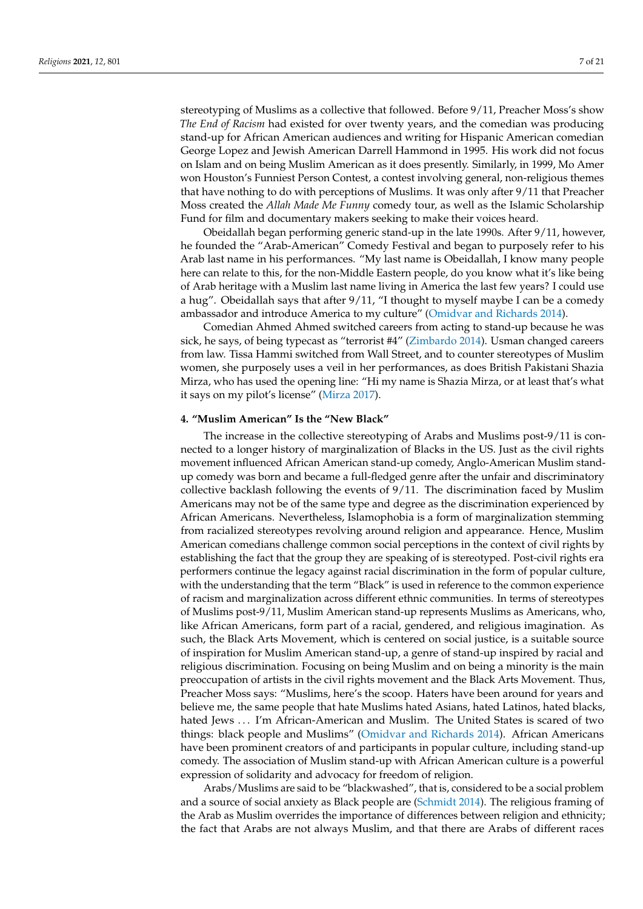stereotyping of Muslims as a collective that followed. Before 9/11, Preacher Moss's show *The End of Racism* had existed for over twenty years, and the comedian was producing stand-up for African American audiences and writing for Hispanic American comedian George Lopez and Jewish American Darrell Hammond in 1995. His work did not focus on Islam and on being Muslim American as it does presently. Similarly, in 1999, Mo Amer won Houston's Funniest Person Contest, a contest involving general, non-religious themes that have nothing to do with perceptions of Muslims. It was only after 9/11 that Preacher Moss created the *Allah Made Me Funny* comedy tour, as well as the Islamic Scholarship Fund for film and documentary makers seeking to make their voices heard.

Obeidallah began performing generic stand-up in the late 1990s. After 9/11, however, he founded the "Arab-American" Comedy Festival and began to purposely refer to his Arab last name in his performances. "My last name is Obeidallah, I know many people here can relate to this, for the non-Middle Eastern people, do you know what it's like being of Arab heritage with a Muslim last name living in America the last few years? I could use a hug". Obeidallah says that after 9/11, "I thought to myself maybe I can be a comedy ambassador and introduce America to my culture" [\(Omidvar and Richards](#page-20-10) [2014\)](#page-20-10).

Comedian Ahmed Ahmed switched careers from acting to stand-up because he was sick, he says, of being typecast as "terrorist #4" [\(Zimbardo](#page-20-6) [2014\)](#page-20-6). Usman changed careers from law. Tissa Hammi switched from Wall Street, and to counter stereotypes of Muslim women, she purposely uses a veil in her performances, as does British Pakistani Shazia Mirza, who has used the opening line: "Hi my name is Shazia Mirza, or at least that's what it says on my pilot's license" [\(Mirza](#page-20-11) [2017\)](#page-20-11).

## **4. "Muslim American" Is the "New Black"**

The increase in the collective stereotyping of Arabs and Muslims post-9/11 is connected to a longer history of marginalization of Blacks in the US. Just as the civil rights movement influenced African American stand-up comedy, Anglo-American Muslim standup comedy was born and became a full-fledged genre after the unfair and discriminatory collective backlash following the events of 9/11. The discrimination faced by Muslim Americans may not be of the same type and degree as the discrimination experienced by African Americans. Nevertheless, Islamophobia is a form of marginalization stemming from racialized stereotypes revolving around religion and appearance. Hence, Muslim American comedians challenge common social perceptions in the context of civil rights by establishing the fact that the group they are speaking of is stereotyped. Post-civil rights era performers continue the legacy against racial discrimination in the form of popular culture, with the understanding that the term "Black" is used in reference to the common experience of racism and marginalization across different ethnic communities. In terms of stereotypes of Muslims post-9/11, Muslim American stand-up represents Muslims as Americans, who, like African Americans, form part of a racial, gendered, and religious imagination. As such, the Black Arts Movement, which is centered on social justice, is a suitable source of inspiration for Muslim American stand-up, a genre of stand-up inspired by racial and religious discrimination. Focusing on being Muslim and on being a minority is the main preoccupation of artists in the civil rights movement and the Black Arts Movement. Thus, Preacher Moss says: "Muslims, here's the scoop. Haters have been around for years and believe me, the same people that hate Muslims hated Asians, hated Latinos, hated blacks, hated Jews ... I'm African-American and Muslim. The United States is scared of two things: black people and Muslims" [\(Omidvar and Richards](#page-20-10) [2014\)](#page-20-10). African Americans have been prominent creators of and participants in popular culture, including stand-up comedy. The association of Muslim stand-up with African American culture is a powerful expression of solidarity and advocacy for freedom of religion.

Arabs/Muslims are said to be "blackwashed", that is, considered to be a social problem and a source of social anxiety as Black people are [\(Schmidt](#page-20-12) [2014\)](#page-20-12). The religious framing of the Arab as Muslim overrides the importance of differences between religion and ethnicity; the fact that Arabs are not always Muslim, and that there are Arabs of different races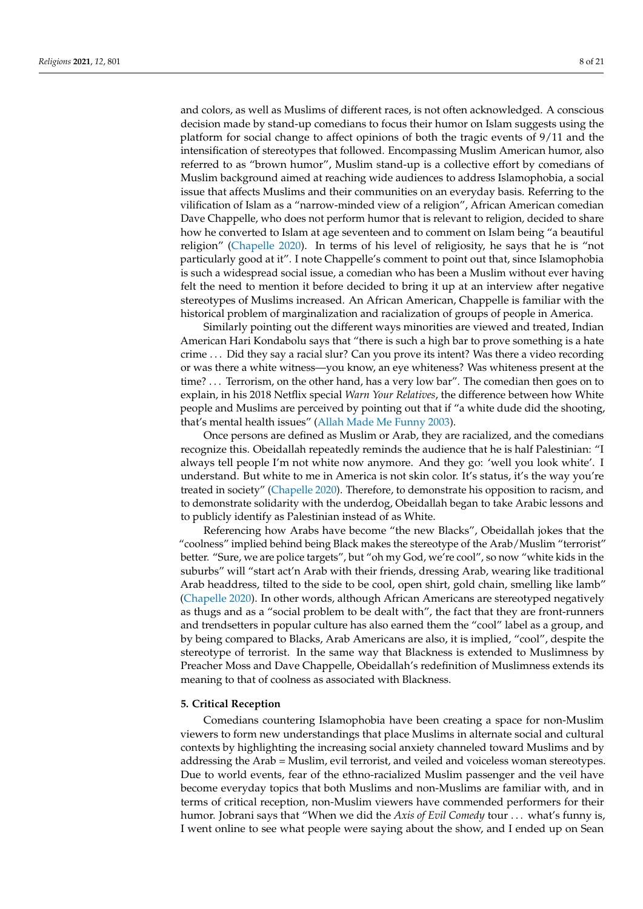and colors, as well as Muslims of different races, is not often acknowledged. A conscious decision made by stand-up comedians to focus their humor on Islam suggests using the platform for social change to affect opinions of both the tragic events of 9/11 and the intensification of stereotypes that followed. Encompassing Muslim American humor, also referred to as "brown humor", Muslim stand-up is a collective effort by comedians of Muslim background aimed at reaching wide audiences to address Islamophobia, a social issue that affects Muslims and their communities on an everyday basis. Referring to the vilification of Islam as a "narrow-minded view of a religion", African American comedian Dave Chappelle, who does not perform humor that is relevant to religion, decided to share how he converted to Islam at age seventeen and to comment on Islam being "a beautiful religion" [\(Chapelle](#page-19-8) [2020\)](#page-19-8). In terms of his level of religiosity, he says that he is "not particularly good at it". I note Chappelle's comment to point out that, since Islamophobia is such a widespread social issue, a comedian who has been a Muslim without ever having felt the need to mention it before decided to bring it up at an interview after negative stereotypes of Muslims increased. An African American, Chappelle is familiar with the historical problem of marginalization and racialization of groups of people in America.

Similarly pointing out the different ways minorities are viewed and treated, Indian American Hari Kondabolu says that "there is such a high bar to prove something is a hate crime . . . Did they say a racial slur? Can you prove its intent? Was there a video recording or was there a white witness—you know, an eye whiteness? Was whiteness present at the time? . . . Terrorism, on the other hand, has a very low bar". The comedian then goes on to explain, in his 2018 Netflix special *Warn Your Relatives*, the difference between how White people and Muslims are perceived by pointing out that if "a white dude did the shooting, that's mental health issues" [\(Allah Made Me Funny](#page-19-1) [2003\)](#page-19-1).

Once persons are defined as Muslim or Arab, they are racialized, and the comedians recognize this. Obeidallah repeatedly reminds the audience that he is half Palestinian: "I always tell people I'm not white now anymore. And they go: 'well you look white'. I understand. But white to me in America is not skin color. It's status, it's the way you're treated in society" [\(Chapelle](#page-19-8) [2020\)](#page-19-8). Therefore, to demonstrate his opposition to racism, and to demonstrate solidarity with the underdog, Obeidallah began to take Arabic lessons and to publicly identify as Palestinian instead of as White.

Referencing how Arabs have become "the new Blacks", Obeidallah jokes that the "coolness" implied behind being Black makes the stereotype of the Arab/Muslim "terrorist" better. "Sure, we are police targets", but "oh my God, we're cool", so now "white kids in the suburbs" will "start act'n Arab with their friends, dressing Arab, wearing like traditional Arab headdress, tilted to the side to be cool, open shirt, gold chain, smelling like lamb" [\(Chapelle](#page-19-8) [2020\)](#page-19-8). In other words, although African Americans are stereotyped negatively as thugs and as a "social problem to be dealt with", the fact that they are front-runners and trendsetters in popular culture has also earned them the "cool" label as a group, and by being compared to Blacks, Arab Americans are also, it is implied, "cool", despite the stereotype of terrorist. In the same way that Blackness is extended to Muslimness by Preacher Moss and Dave Chappelle, Obeidallah's redefinition of Muslimness extends its meaning to that of coolness as associated with Blackness.

#### **5. Critical Reception**

Comedians countering Islamophobia have been creating a space for non-Muslim viewers to form new understandings that place Muslims in alternate social and cultural contexts by highlighting the increasing social anxiety channeled toward Muslims and by addressing the Arab = Muslim, evil terrorist, and veiled and voiceless woman stereotypes. Due to world events, fear of the ethno-racialized Muslim passenger and the veil have become everyday topics that both Muslims and non-Muslims are familiar with, and in terms of critical reception, non-Muslim viewers have commended performers for their humor. Jobrani says that "When we did the *Axis of Evil Comedy* tour . . . what's funny is, I went online to see what people were saying about the show, and I ended up on Sean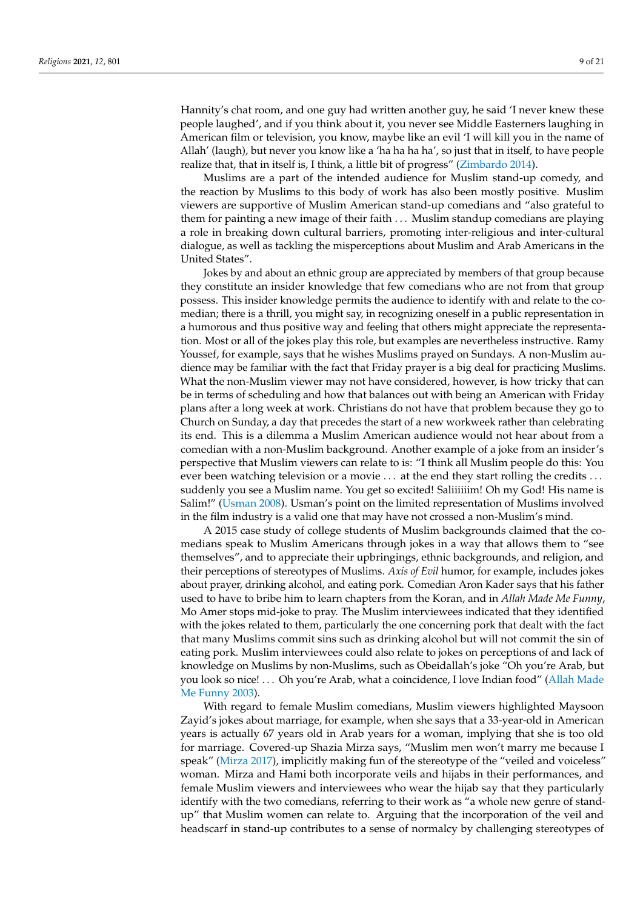Hannity's chat room, and one guy had written another guy, he said 'I never knew these people laughed', and if you think about it, you never see Middle Easterners laughing in American film or television, you know, maybe like an evil 'I will kill you in the name of Allah' (laugh), but never you know like a 'ha ha ha ha', so just that in itself, to have people realize that, that in itself is, I think, a little bit of progress" [\(Zimbardo](#page-20-6) [2014\)](#page-20-6).

Muslims are a part of the intended audience for Muslim stand-up comedy, and the reaction by Muslims to this body of work has also been mostly positive. Muslim viewers are supportive of Muslim American stand-up comedians and "also grateful to them for painting a new image of their faith . . . Muslim standup comedians are playing a role in breaking down cultural barriers, promoting inter-religious and inter-cultural dialogue, as well as tackling the misperceptions about Muslim and Arab Americans in the United States".

Jokes by and about an ethnic group are appreciated by members of that group because they constitute an insider knowledge that few comedians who are not from that group possess. This insider knowledge permits the audience to identify with and relate to the comedian; there is a thrill, you might say, in recognizing oneself in a public representation in a humorous and thus positive way and feeling that others might appreciate the representation. Most or all of the jokes play this role, but examples are nevertheless instructive. Ramy Youssef, for example, says that he wishes Muslims prayed on Sundays. A non-Muslim audience may be familiar with the fact that Friday prayer is a big deal for practicing Muslims. What the non-Muslim viewer may not have considered, however, is how tricky that can be in terms of scheduling and how that balances out with being an American with Friday plans after a long week at work. Christians do not have that problem because they go to Church on Sunday, a day that precedes the start of a new workweek rather than celebrating its end. This is a dilemma a Muslim American audience would not hear about from a comedian with a non-Muslim background. Another example of a joke from an insider's perspective that Muslim viewers can relate to is: "I think all Muslim people do this: You ever been watching television or a movie ... at the end they start rolling the credits ... suddenly you see a Muslim name. You get so excited! Saliiiiiim! Oh my God! His name is Salim!" [\(Usman](#page-20-13) [2008\)](#page-20-13). Usman's point on the limited representation of Muslims involved in the film industry is a valid one that may have not crossed a non-Muslim's mind.

A 2015 case study of college students of Muslim backgrounds claimed that the comedians speak to Muslim Americans through jokes in a way that allows them to "see themselves", and to appreciate their upbringings, ethnic backgrounds, and religion, and their perceptions of stereotypes of Muslims. *Axis of Evil* humor, for example, includes jokes about prayer, drinking alcohol, and eating pork. Comedian Aron Kader says that his father used to have to bribe him to learn chapters from the Koran, and in *Allah Made Me Funny*, Mo Amer stops mid-joke to pray. The Muslim interviewees indicated that they identified with the jokes related to them, particularly the one concerning pork that dealt with the fact that many Muslims commit sins such as drinking alcohol but will not commit the sin of eating pork. Muslim interviewees could also relate to jokes on perceptions of and lack of knowledge on Muslims by non-Muslims, such as Obeidallah's joke "Oh you're Arab, but you look so nice! . . . Oh you're Arab, what a coincidence, I love Indian food" [\(Allah Made](#page-19-1) [Me Funny](#page-19-1) [2003\)](#page-19-1).

With regard to female Muslim comedians, Muslim viewers highlighted Maysoon Zayid's jokes about marriage, for example, when she says that a 33-year-old in American years is actually 67 years old in Arab years for a woman, implying that she is too old for marriage. Covered-up Shazia Mirza says, "Muslim men won't marry me because I speak" [\(Mirza](#page-20-11) [2017\)](#page-20-11), implicitly making fun of the stereotype of the "veiled and voiceless" woman. Mirza and Hami both incorporate veils and hijabs in their performances, and female Muslim viewers and interviewees who wear the hijab say that they particularly identify with the two comedians, referring to their work as "a whole new genre of standup" that Muslim women can relate to. Arguing that the incorporation of the veil and headscarf in stand-up contributes to a sense of normalcy by challenging stereotypes of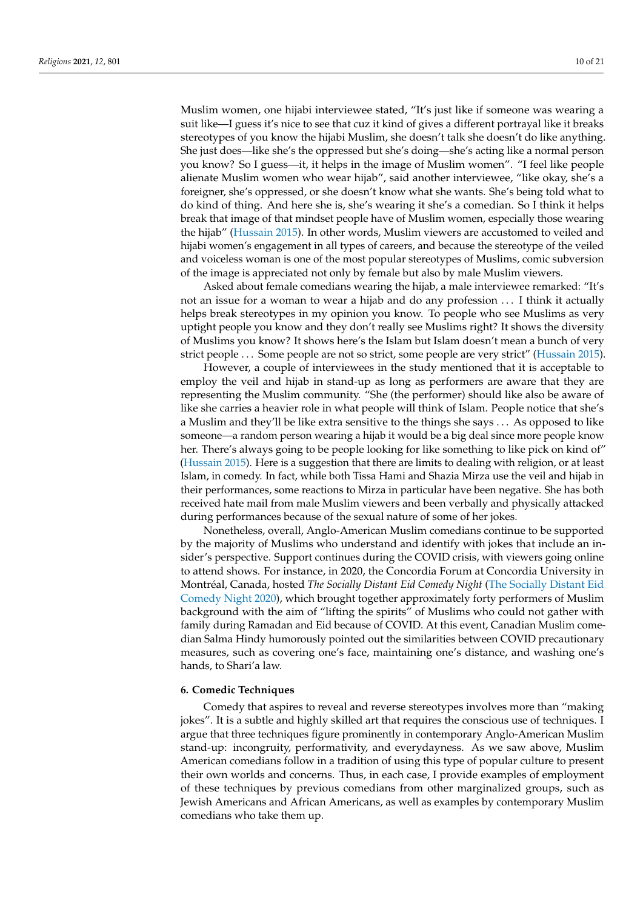Muslim women, one hijabi interviewee stated, "It's just like if someone was wearing a suit like—I guess it's nice to see that cuz it kind of gives a different portrayal like it breaks stereotypes of you know the hijabi Muslim, she doesn't talk she doesn't do like anything. She just does—like she's the oppressed but she's doing—she's acting like a normal person you know? So I guess—it, it helps in the image of Muslim women". "I feel like people alienate Muslim women who wear hijab", said another interviewee, "like okay, she's a foreigner, she's oppressed, or she doesn't know what she wants. She's being told what to do kind of thing. And here she is, she's wearing it she's a comedian. So I think it helps break that image of that mindset people have of Muslim women, especially those wearing the hijab" [\(Hussain](#page-20-14) [2015\)](#page-20-14). In other words, Muslim viewers are accustomed to veiled and hijabi women's engagement in all types of careers, and because the stereotype of the veiled and voiceless woman is one of the most popular stereotypes of Muslims, comic subversion of the image is appreciated not only by female but also by male Muslim viewers.

Asked about female comedians wearing the hijab, a male interviewee remarked: "It's not an issue for a woman to wear a hijab and do any profession . . . I think it actually helps break stereotypes in my opinion you know. To people who see Muslims as very uptight people you know and they don't really see Muslims right? It shows the diversity of Muslims you know? It shows here's the Islam but Islam doesn't mean a bunch of very strict people . . . Some people are not so strict, some people are very strict" [\(Hussain](#page-20-14) [2015\)](#page-20-14).

However, a couple of interviewees in the study mentioned that it is acceptable to employ the veil and hijab in stand-up as long as performers are aware that they are representing the Muslim community. "She (the performer) should like also be aware of like she carries a heavier role in what people will think of Islam. People notice that she's a Muslim and they'll be like extra sensitive to the things she says . . . As opposed to like someone—a random person wearing a hijab it would be a big deal since more people know her. There's always going to be people looking for like something to like pick on kind of" [\(Hussain](#page-20-14) [2015\)](#page-20-14). Here is a suggestion that there are limits to dealing with religion, or at least Islam, in comedy. In fact, while both Tissa Hami and Shazia Mirza use the veil and hijab in their performances, some reactions to Mirza in particular have been negative. She has both received hate mail from male Muslim viewers and been verbally and physically attacked during performances because of the sexual nature of some of her jokes.

Nonetheless, overall, Anglo-American Muslim comedians continue to be supported by the majority of Muslims who understand and identify with jokes that include an insider's perspective. Support continues during the COVID crisis, with viewers going online to attend shows. For instance, in 2020, the Concordia Forum at Concordia University in Montréal, Canada, hosted *The Socially Distant Eid Comedy Night* [\(The Socially Distant Eid](#page-20-15) [Comedy Night](#page-20-15) [2020\)](#page-20-15), which brought together approximately forty performers of Muslim background with the aim of "lifting the spirits" of Muslims who could not gather with family during Ramadan and Eid because of COVID. At this event, Canadian Muslim comedian Salma Hindy humorously pointed out the similarities between COVID precautionary measures, such as covering one's face, maintaining one's distance, and washing one's hands, to Shari'a law.

## **6. Comedic Techniques**

Comedy that aspires to reveal and reverse stereotypes involves more than "making jokes". It is a subtle and highly skilled art that requires the conscious use of techniques. I argue that three techniques figure prominently in contemporary Anglo-American Muslim stand-up: incongruity, performativity, and everydayness. As we saw above, Muslim American comedians follow in a tradition of using this type of popular culture to present their own worlds and concerns. Thus, in each case, I provide examples of employment of these techniques by previous comedians from other marginalized groups, such as Jewish Americans and African Americans, as well as examples by contemporary Muslim comedians who take them up.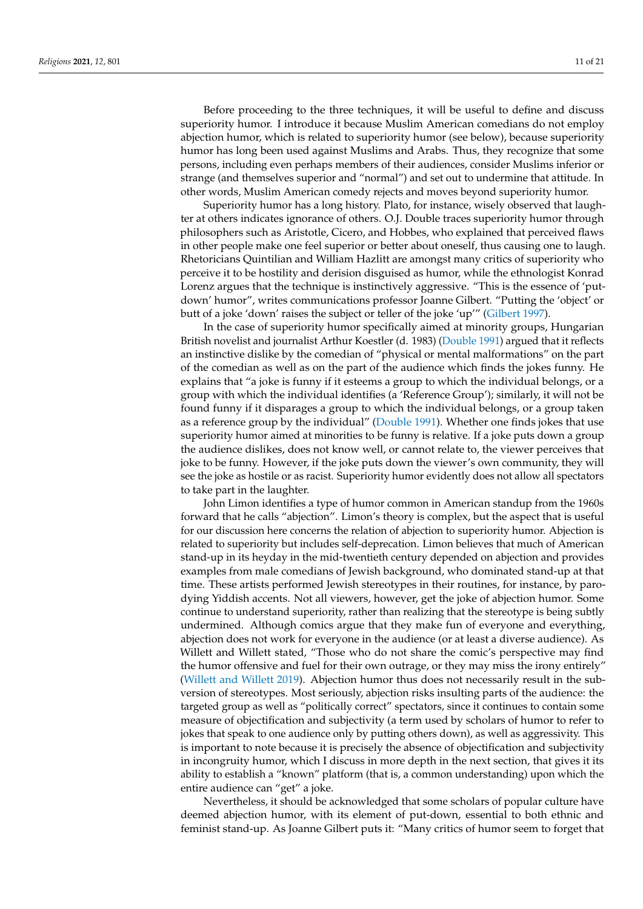Before proceeding to the three techniques, it will be useful to define and discuss superiority humor. I introduce it because Muslim American comedians do not employ abjection humor, which is related to superiority humor (see below), because superiority humor has long been used against Muslims and Arabs. Thus, they recognize that some persons, including even perhaps members of their audiences, consider Muslims inferior or strange (and themselves superior and "normal") and set out to undermine that attitude. In other words, Muslim American comedy rejects and moves beyond superiority humor.

Superiority humor has a long history. Plato, for instance, wisely observed that laughter at others indicates ignorance of others. O.J. Double traces superiority humor through philosophers such as Aristotle, Cicero, and Hobbes, who explained that perceived flaws in other people make one feel superior or better about oneself, thus causing one to laugh. Rhetoricians Quintilian and William Hazlitt are amongst many critics of superiority who perceive it to be hostility and derision disguised as humor, while the ethnologist Konrad Lorenz argues that the technique is instinctively aggressive. "This is the essence of 'putdown' humor", writes communications professor Joanne Gilbert. "Putting the 'object' or butt of a joke 'down' raises the subject or teller of the joke 'up'" [\(Gilbert](#page-19-9) [1997\)](#page-19-9).

In the case of superiority humor specifically aimed at minority groups, Hungarian British novelist and journalist Arthur Koestler (d. 1983) [\(Double](#page-19-0) [1991\)](#page-19-0) argued that it reflects an instinctive dislike by the comedian of "physical or mental malformations" on the part of the comedian as well as on the part of the audience which finds the jokes funny. He explains that "a joke is funny if it esteems a group to which the individual belongs, or a group with which the individual identifies (a 'Reference Group'); similarly, it will not be found funny if it disparages a group to which the individual belongs, or a group taken as a reference group by the individual" [\(Double](#page-19-0) [1991\)](#page-19-0). Whether one finds jokes that use superiority humor aimed at minorities to be funny is relative. If a joke puts down a group the audience dislikes, does not know well, or cannot relate to, the viewer perceives that joke to be funny. However, if the joke puts down the viewer's own community, they will see the joke as hostile or as racist. Superiority humor evidently does not allow all spectators to take part in the laughter.

John Limon identifies a type of humor common in American standup from the 1960s forward that he calls "abjection". Limon's theory is complex, but the aspect that is useful for our discussion here concerns the relation of abjection to superiority humor. Abjection is related to superiority but includes self-deprecation. Limon believes that much of American stand-up in its heyday in the mid-twentieth century depended on abjection and provides examples from male comedians of Jewish background, who dominated stand-up at that time. These artists performed Jewish stereotypes in their routines, for instance, by parodying Yiddish accents. Not all viewers, however, get the joke of abjection humor. Some continue to understand superiority, rather than realizing that the stereotype is being subtly undermined. Although comics argue that they make fun of everyone and everything, abjection does not work for everyone in the audience (or at least a diverse audience). As Willett and Willett stated, "Those who do not share the comic's perspective may find the humor offensive and fuel for their own outrage, or they may miss the irony entirely" [\(Willett and Willett](#page-20-8) [2019\)](#page-20-8). Abjection humor thus does not necessarily result in the subversion of stereotypes. Most seriously, abjection risks insulting parts of the audience: the targeted group as well as "politically correct" spectators, since it continues to contain some measure of objectification and subjectivity (a term used by scholars of humor to refer to jokes that speak to one audience only by putting others down), as well as aggressivity. This is important to note because it is precisely the absence of objectification and subjectivity in incongruity humor, which I discuss in more depth in the next section, that gives it its ability to establish a "known" platform (that is, a common understanding) upon which the entire audience can "get" a joke.

Nevertheless, it should be acknowledged that some scholars of popular culture have deemed abjection humor, with its element of put-down, essential to both ethnic and feminist stand-up. As Joanne Gilbert puts it: "Many critics of humor seem to forget that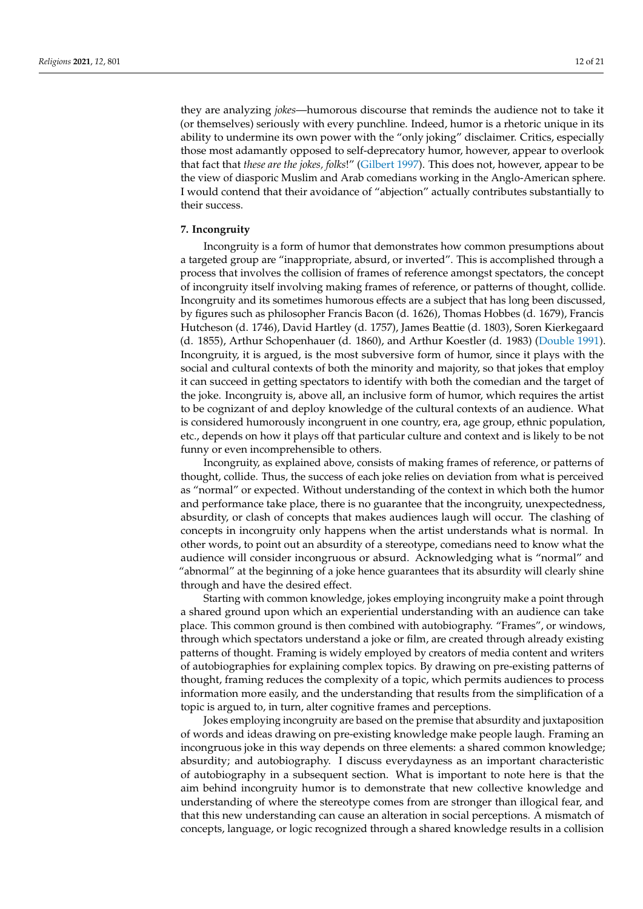they are analyzing *jokes*—humorous discourse that reminds the audience not to take it (or themselves) seriously with every punchline. Indeed, humor is a rhetoric unique in its ability to undermine its own power with the "only joking" disclaimer. Critics, especially those most adamantly opposed to self-deprecatory humor, however, appear to overlook that fact that *these are the jokes, folks*!" [\(Gilbert](#page-19-9) [1997\)](#page-19-9). This does not, however, appear to be the view of diasporic Muslim and Arab comedians working in the Anglo-American sphere. I would contend that their avoidance of "abjection" actually contributes substantially to their success.

## **7. Incongruity**

Incongruity is a form of humor that demonstrates how common presumptions about a targeted group are "inappropriate, absurd, or inverted". This is accomplished through a process that involves the collision of frames of reference amongst spectators, the concept of incongruity itself involving making frames of reference, or patterns of thought, collide. Incongruity and its sometimes humorous effects are a subject that has long been discussed, by figures such as philosopher Francis Bacon (d. 1626), Thomas Hobbes (d. 1679), Francis Hutcheson (d. 1746), David Hartley (d. 1757), James Beattie (d. 1803), Soren Kierkegaard (d. 1855), Arthur Schopenhauer (d. 1860), and Arthur Koestler (d. 1983) [\(Double](#page-19-0) [1991\)](#page-19-0). Incongruity, it is argued, is the most subversive form of humor, since it plays with the social and cultural contexts of both the minority and majority, so that jokes that employ it can succeed in getting spectators to identify with both the comedian and the target of the joke. Incongruity is, above all, an inclusive form of humor, which requires the artist to be cognizant of and deploy knowledge of the cultural contexts of an audience. What is considered humorously incongruent in one country, era, age group, ethnic population, etc., depends on how it plays off that particular culture and context and is likely to be not funny or even incomprehensible to others.

Incongruity, as explained above, consists of making frames of reference, or patterns of thought, collide. Thus, the success of each joke relies on deviation from what is perceived as "normal" or expected. Without understanding of the context in which both the humor and performance take place, there is no guarantee that the incongruity, unexpectedness, absurdity, or clash of concepts that makes audiences laugh will occur. The clashing of concepts in incongruity only happens when the artist understands what is normal. In other words, to point out an absurdity of a stereotype, comedians need to know what the audience will consider incongruous or absurd. Acknowledging what is "normal" and "abnormal" at the beginning of a joke hence guarantees that its absurdity will clearly shine through and have the desired effect.

Starting with common knowledge, jokes employing incongruity make a point through a shared ground upon which an experiential understanding with an audience can take place. This common ground is then combined with autobiography. "Frames", or windows, through which spectators understand a joke or film, are created through already existing patterns of thought. Framing is widely employed by creators of media content and writers of autobiographies for explaining complex topics. By drawing on pre-existing patterns of thought, framing reduces the complexity of a topic, which permits audiences to process information more easily, and the understanding that results from the simplification of a topic is argued to, in turn, alter cognitive frames and perceptions.

Jokes employing incongruity are based on the premise that absurdity and juxtaposition of words and ideas drawing on pre-existing knowledge make people laugh. Framing an incongruous joke in this way depends on three elements: a shared common knowledge; absurdity; and autobiography. I discuss everydayness as an important characteristic of autobiography in a subsequent section. What is important to note here is that the aim behind incongruity humor is to demonstrate that new collective knowledge and understanding of where the stereotype comes from are stronger than illogical fear, and that this new understanding can cause an alteration in social perceptions. A mismatch of concepts, language, or logic recognized through a shared knowledge results in a collision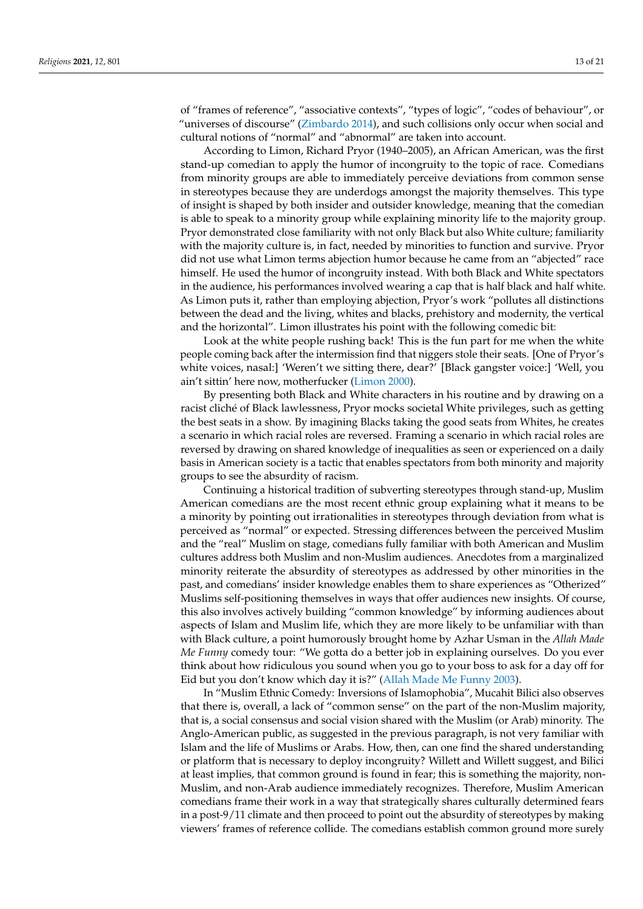of "frames of reference", "associative contexts", "types of logic", "codes of behaviour", or "universes of discourse" [\(Zimbardo](#page-20-6) [2014\)](#page-20-6), and such collisions only occur when social and cultural notions of "normal" and "abnormal" are taken into account.

According to Limon, Richard Pryor (1940–2005), an African American, was the first stand-up comedian to apply the humor of incongruity to the topic of race. Comedians from minority groups are able to immediately perceive deviations from common sense in stereotypes because they are underdogs amongst the majority themselves. This type of insight is shaped by both insider and outsider knowledge, meaning that the comedian is able to speak to a minority group while explaining minority life to the majority group. Pryor demonstrated close familiarity with not only Black but also White culture; familiarity with the majority culture is, in fact, needed by minorities to function and survive. Pryor did not use what Limon terms abjection humor because he came from an "abjected" race himself. He used the humor of incongruity instead. With both Black and White spectators in the audience, his performances involved wearing a cap that is half black and half white. As Limon puts it, rather than employing abjection, Pryor's work "pollutes all distinctions between the dead and the living, whites and blacks, prehistory and modernity, the vertical and the horizontal". Limon illustrates his point with the following comedic bit:

Look at the white people rushing back! This is the fun part for me when the white people coming back after the intermission find that niggers stole their seats. [One of Pryor's white voices, nasal:] 'Weren't we sitting there, dear?' [Black gangster voice:] 'Well, you ain't sittin' here now, motherfucker [\(Limon](#page-20-16) [2000\)](#page-20-16).

By presenting both Black and White characters in his routine and by drawing on a racist cliché of Black lawlessness, Pryor mocks societal White privileges, such as getting the best seats in a show. By imagining Blacks taking the good seats from Whites, he creates a scenario in which racial roles are reversed. Framing a scenario in which racial roles are reversed by drawing on shared knowledge of inequalities as seen or experienced on a daily basis in American society is a tactic that enables spectators from both minority and majority groups to see the absurdity of racism.

Continuing a historical tradition of subverting stereotypes through stand-up, Muslim American comedians are the most recent ethnic group explaining what it means to be a minority by pointing out irrationalities in stereotypes through deviation from what is perceived as "normal" or expected. Stressing differences between the perceived Muslim and the "real" Muslim on stage, comedians fully familiar with both American and Muslim cultures address both Muslim and non-Muslim audiences. Anecdotes from a marginalized minority reiterate the absurdity of stereotypes as addressed by other minorities in the past, and comedians' insider knowledge enables them to share experiences as "Otherized" Muslims self-positioning themselves in ways that offer audiences new insights. Of course, this also involves actively building "common knowledge" by informing audiences about aspects of Islam and Muslim life, which they are more likely to be unfamiliar with than with Black culture, a point humorously brought home by Azhar Usman in the *Allah Made Me Funny* comedy tour: "We gotta do a better job in explaining ourselves. Do you ever think about how ridiculous you sound when you go to your boss to ask for a day off for Eid but you don't know which day it is?" [\(Allah Made Me Funny](#page-19-1) [2003\)](#page-19-1).

In "Muslim Ethnic Comedy: Inversions of Islamophobia", Mucahit Bilici also observes that there is, overall, a lack of "common sense" on the part of the non-Muslim majority, that is, a social consensus and social vision shared with the Muslim (or Arab) minority. The Anglo-American public, as suggested in the previous paragraph, is not very familiar with Islam and the life of Muslims or Arabs. How, then, can one find the shared understanding or platform that is necessary to deploy incongruity? Willett and Willett suggest, and Bilici at least implies, that common ground is found in fear; this is something the majority, non-Muslim, and non-Arab audience immediately recognizes. Therefore, Muslim American comedians frame their work in a way that strategically shares culturally determined fears in a post-9/11 climate and then proceed to point out the absurdity of stereotypes by making viewers' frames of reference collide. The comedians establish common ground more surely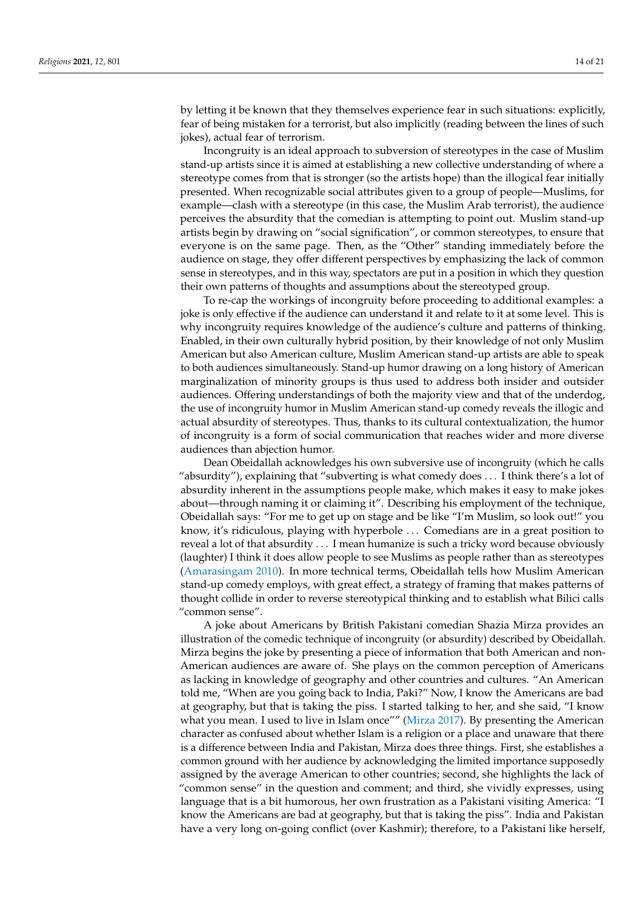by letting it be known that they themselves experience fear in such situations: explicitly, fear of being mistaken for a terrorist, but also implicitly (reading between the lines of such jokes), actual fear of terrorism.

Incongruity is an ideal approach to subversion of stereotypes in the case of Muslim stand-up artists since it is aimed at establishing a new collective understanding of where a stereotype comes from that is stronger (so the artists hope) than the illogical fear initially presented. When recognizable social attributes given to a group of people—Muslims, for example—clash with a stereotype (in this case, the Muslim Arab terrorist), the audience perceives the absurdity that the comedian is attempting to point out. Muslim stand-up artists begin by drawing on "social signification", or common stereotypes, to ensure that everyone is on the same page. Then, as the "Other" standing immediately before the audience on stage, they offer different perspectives by emphasizing the lack of common sense in stereotypes, and in this way, spectators are put in a position in which they question their own patterns of thoughts and assumptions about the stereotyped group.

To re-cap the workings of incongruity before proceeding to additional examples: a joke is only effective if the audience can understand it and relate to it at some level. This is why incongruity requires knowledge of the audience's culture and patterns of thinking. Enabled, in their own culturally hybrid position, by their knowledge of not only Muslim American but also American culture, Muslim American stand-up artists are able to speak to both audiences simultaneously. Stand-up humor drawing on a long history of American marginalization of minority groups is thus used to address both insider and outsider audiences. Offering understandings of both the majority view and that of the underdog, the use of incongruity humor in Muslim American stand-up comedy reveals the illogic and actual absurdity of stereotypes. Thus, thanks to its cultural contextualization, the humor of incongruity is a form of social communication that reaches wider and more diverse audiences than abjection humor.

Dean Obeidallah acknowledges his own subversive use of incongruity (which he calls "absurdity"), explaining that "subverting is what comedy does . . . I think there's a lot of absurdity inherent in the assumptions people make, which makes it easy to make jokes about—through naming it or claiming it". Describing his employment of the technique, Obeidallah says: "For me to get up on stage and be like "I'm Muslim, so look out!" you know, it's ridiculous, playing with hyperbole . . . Comedians are in a great position to reveal a lot of that absurdity . . . I mean humanize is such a tricky word because obviously (laughter) I think it does allow people to see Muslims as people rather than as stereotypes [\(Amarasingam](#page-19-4) [2010\)](#page-19-4). In more technical terms, Obeidallah tells how Muslim American stand-up comedy employs, with great effect, a strategy of framing that makes patterns of thought collide in order to reverse stereotypical thinking and to establish what Bilici calls "common sense".

A joke about Americans by British Pakistani comedian Shazia Mirza provides an illustration of the comedic technique of incongruity (or absurdity) described by Obeidallah. Mirza begins the joke by presenting a piece of information that both American and non-American audiences are aware of. She plays on the common perception of Americans as lacking in knowledge of geography and other countries and cultures. "An American told me, "When are you going back to India, Paki?" Now, I know the Americans are bad at geography, but that is taking the piss. I started talking to her, and she said, "I know what you mean. I used to live in Islam once"" [\(Mirza](#page-20-11) [2017\)](#page-20-11). By presenting the American character as confused about whether Islam is a religion or a place and unaware that there is a difference between India and Pakistan, Mirza does three things. First, she establishes a common ground with her audience by acknowledging the limited importance supposedly assigned by the average American to other countries; second, she highlights the lack of "common sense" in the question and comment; and third, she vividly expresses, using language that is a bit humorous, her own frustration as a Pakistani visiting America: "I know the Americans are bad at geography, but that is taking the piss". India and Pakistan have a very long on-going conflict (over Kashmir); therefore, to a Pakistani like herself,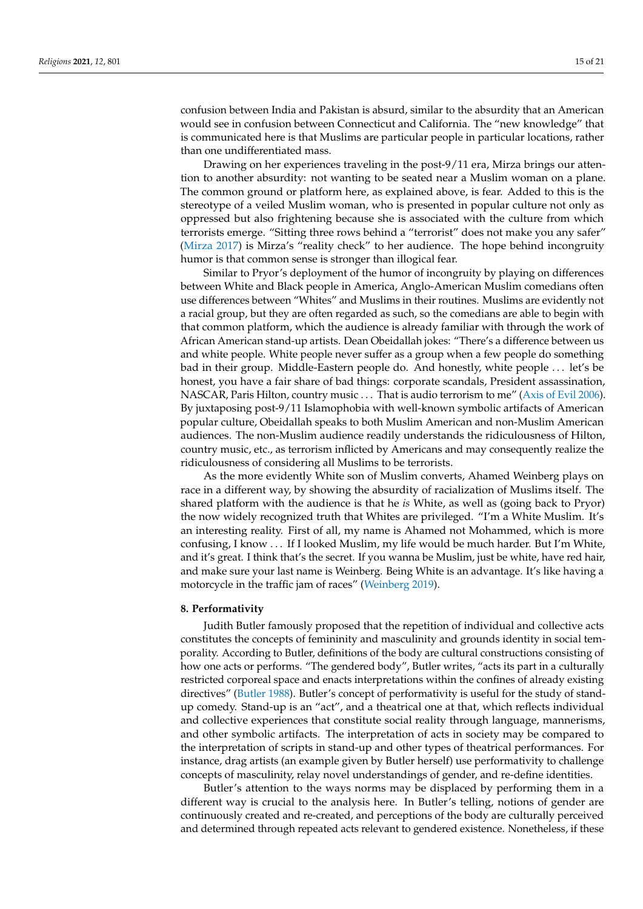confusion between India and Pakistan is absurd, similar to the absurdity that an American would see in confusion between Connecticut and California. The "new knowledge" that is communicated here is that Muslims are particular people in particular locations, rather than one undifferentiated mass.

Drawing on her experiences traveling in the post-9/11 era, Mirza brings our attention to another absurdity: not wanting to be seated near a Muslim woman on a plane. The common ground or platform here, as explained above, is fear. Added to this is the stereotype of a veiled Muslim woman, who is presented in popular culture not only as oppressed but also frightening because she is associated with the culture from which terrorists emerge. "Sitting three rows behind a "terrorist" does not make you any safer" [\(Mirza](#page-20-11) [2017\)](#page-20-11) is Mirza's "reality check" to her audience. The hope behind incongruity humor is that common sense is stronger than illogical fear.

Similar to Pryor's deployment of the humor of incongruity by playing on differences between White and Black people in America, Anglo-American Muslim comedians often use differences between "Whites" and Muslims in their routines. Muslims are evidently not a racial group, but they are often regarded as such, so the comedians are able to begin with that common platform, which the audience is already familiar with through the work of African American stand-up artists. Dean Obeidallah jokes: "There's a difference between us and white people. White people never suffer as a group when a few people do something bad in their group. Middle-Eastern people do. And honestly, white people . . . let's be honest, you have a fair share of bad things: corporate scandals, President assassination, NASCAR, Paris Hilton, country music . . . That is audio terrorism to me" [\(Axis of Evil](#page-19-6) [2006\)](#page-19-6). By juxtaposing post-9/11 Islamophobia with well-known symbolic artifacts of American popular culture, Obeidallah speaks to both Muslim American and non-Muslim American audiences. The non-Muslim audience readily understands the ridiculousness of Hilton, country music, etc., as terrorism inflicted by Americans and may consequently realize the ridiculousness of considering all Muslims to be terrorists.

As the more evidently White son of Muslim converts, Ahamed Weinberg plays on race in a different way, by showing the absurdity of racialization of Muslims itself. The shared platform with the audience is that he *is* White, as well as (going back to Pryor) the now widely recognized truth that Whites are privileged. "I'm a White Muslim. It's an interesting reality. First of all, my name is Ahamed not Mohammed, which is more confusing, I know . . . If I looked Muslim, my life would be much harder. But I'm White, and it's great. I think that's the secret. If you wanna be Muslim, just be white, have red hair, and make sure your last name is Weinberg. Being White is an advantage. It's like having a motorcycle in the traffic jam of races" [\(Weinberg](#page-20-17) [2019\)](#page-20-17).

## **8. Performativity**

Judith Butler famously proposed that the repetition of individual and collective acts constitutes the concepts of femininity and masculinity and grounds identity in social temporality. According to Butler, definitions of the body are cultural constructions consisting of how one acts or performs. "The gendered body", Butler writes, "acts its part in a culturally restricted corporeal space and enacts interpretations within the confines of already existing directives" [\(Butler](#page-19-10) [1988\)](#page-19-10). Butler's concept of performativity is useful for the study of standup comedy. Stand-up is an "act", and a theatrical one at that, which reflects individual and collective experiences that constitute social reality through language, mannerisms, and other symbolic artifacts. The interpretation of acts in society may be compared to the interpretation of scripts in stand-up and other types of theatrical performances. For instance, drag artists (an example given by Butler herself) use performativity to challenge concepts of masculinity, relay novel understandings of gender, and re-define identities.

Butler's attention to the ways norms may be displaced by performing them in a different way is crucial to the analysis here. In Butler's telling, notions of gender are continuously created and re-created, and perceptions of the body are culturally perceived and determined through repeated acts relevant to gendered existence. Nonetheless, if these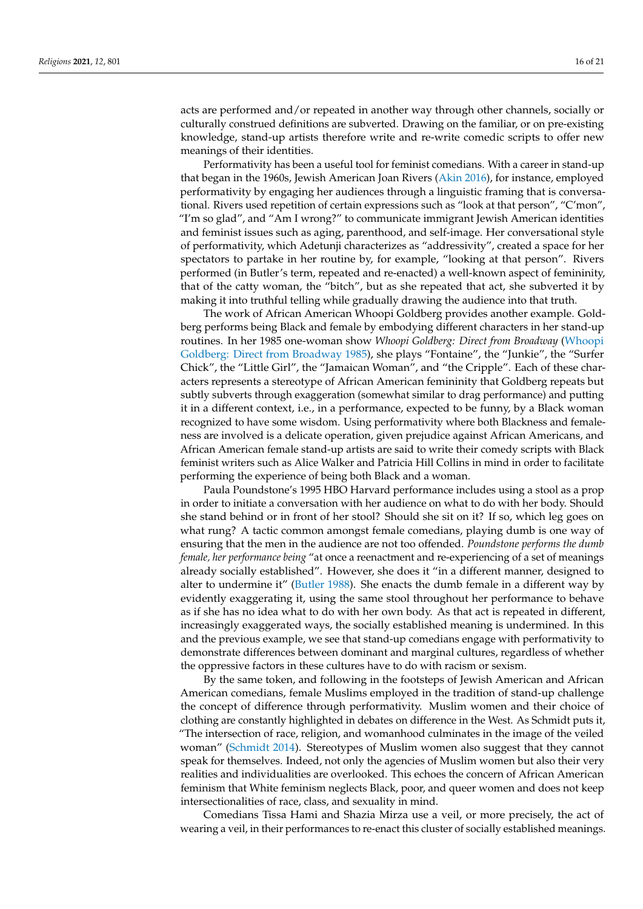acts are performed and/or repeated in another way through other channels, socially or culturally construed definitions are subverted. Drawing on the familiar, or on pre-existing knowledge, stand-up artists therefore write and re-write comedic scripts to offer new meanings of their identities.

Performativity has been a useful tool for feminist comedians. With a career in stand-up that began in the 1960s, Jewish American Joan Rivers [\(Akin](#page-19-11) [2016\)](#page-19-11), for instance, employed performativity by engaging her audiences through a linguistic framing that is conversational. Rivers used repetition of certain expressions such as "look at that person", "C'mon", "I'm so glad", and "Am I wrong?" to communicate immigrant Jewish American identities and feminist issues such as aging, parenthood, and self-image. Her conversational style of performativity, which Adetunji characterizes as "addressivity", created a space for her spectators to partake in her routine by, for example, "looking at that person". Rivers performed (in Butler's term, repeated and re-enacted) a well-known aspect of femininity, that of the catty woman, the "bitch", but as she repeated that act, she subverted it by making it into truthful telling while gradually drawing the audience into that truth.

The work of African American Whoopi Goldberg provides another example. Goldberg performs being Black and female by embodying different characters in her stand-up routines. In her 1985 one-woman show *Whoopi Goldberg: Direct from Broadway* [\(Whoopi](#page-20-18) [Goldberg: Direct from Broadway](#page-20-18) [1985\)](#page-20-18), she plays "Fontaine", the "Junkie", the "Surfer Chick", the "Little Girl", the "Jamaican Woman", and "the Cripple". Each of these characters represents a stereotype of African American femininity that Goldberg repeats but subtly subverts through exaggeration (somewhat similar to drag performance) and putting it in a different context, i.e., in a performance, expected to be funny, by a Black woman recognized to have some wisdom. Using performativity where both Blackness and femaleness are involved is a delicate operation, given prejudice against African Americans, and African American female stand-up artists are said to write their comedy scripts with Black feminist writers such as Alice Walker and Patricia Hill Collins in mind in order to facilitate performing the experience of being both Black and a woman.

Paula Poundstone's 1995 HBO Harvard performance includes using a stool as a prop in order to initiate a conversation with her audience on what to do with her body. Should she stand behind or in front of her stool? Should she sit on it? If so, which leg goes on what rung? A tactic common amongst female comedians, playing dumb is one way of ensuring that the men in the audience are not too offended. *Poundstone performs the dumb female, her performance being* "at once a reenactment and re-experiencing of a set of meanings already socially established". However, she does it "in a different manner, designed to alter to undermine it" [\(Butler](#page-19-10) [1988\)](#page-19-10). She enacts the dumb female in a different way by evidently exaggerating it, using the same stool throughout her performance to behave as if she has no idea what to do with her own body. As that act is repeated in different, increasingly exaggerated ways, the socially established meaning is undermined. In this and the previous example, we see that stand-up comedians engage with performativity to demonstrate differences between dominant and marginal cultures, regardless of whether the oppressive factors in these cultures have to do with racism or sexism.

By the same token, and following in the footsteps of Jewish American and African American comedians, female Muslims employed in the tradition of stand-up challenge the concept of difference through performativity. Muslim women and their choice of clothing are constantly highlighted in debates on difference in the West. As Schmidt puts it, "The intersection of race, religion, and womanhood culminates in the image of the veiled woman" [\(Schmidt](#page-20-12) [2014\)](#page-20-12). Stereotypes of Muslim women also suggest that they cannot speak for themselves. Indeed, not only the agencies of Muslim women but also their very realities and individualities are overlooked. This echoes the concern of African American feminism that White feminism neglects Black, poor, and queer women and does not keep intersectionalities of race, class, and sexuality in mind.

Comedians Tissa Hami and Shazia Mirza use a veil, or more precisely, the act of wearing a veil, in their performances to re-enact this cluster of socially established meanings.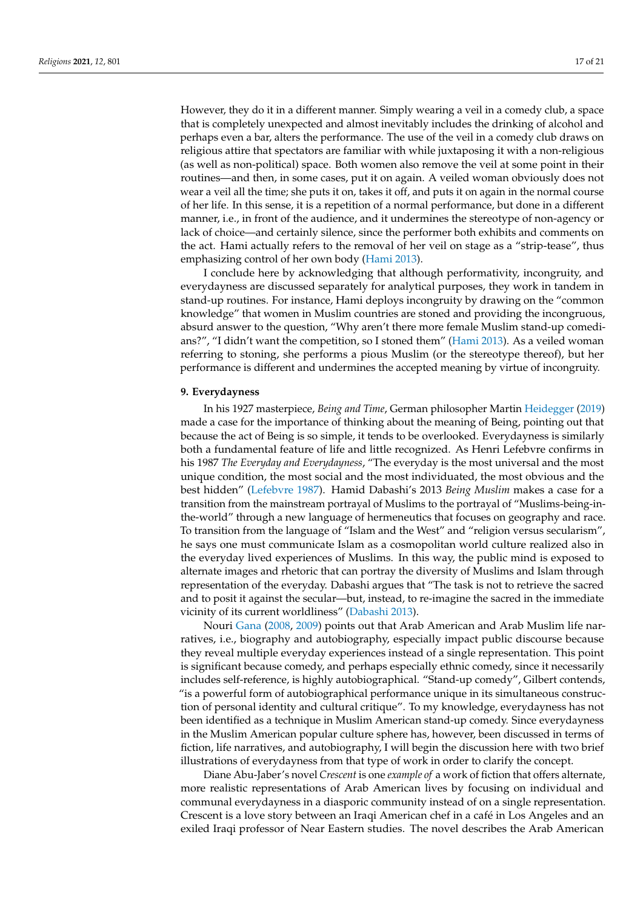However, they do it in a different manner. Simply wearing a veil in a comedy club, a space that is completely unexpected and almost inevitably includes the drinking of alcohol and perhaps even a bar, alters the performance. The use of the veil in a comedy club draws on religious attire that spectators are familiar with while juxtaposing it with a non-religious (as well as non-political) space. Both women also remove the veil at some point in their routines—and then, in some cases, put it on again. A veiled woman obviously does not wear a veil all the time; she puts it on, takes it off, and puts it on again in the normal course of her life. In this sense, it is a repetition of a normal performance, but done in a different manner, i.e., in front of the audience, and it undermines the stereotype of non-agency or lack of choice—and certainly silence, since the performer both exhibits and comments on the act. Hami actually refers to the removal of her veil on stage as a "strip-tease", thus emphasizing control of her own body [\(Hami](#page-19-12) [2013\)](#page-19-12).

I conclude here by acknowledging that although performativity, incongruity, and everydayness are discussed separately for analytical purposes, they work in tandem in stand-up routines. For instance, Hami deploys incongruity by drawing on the "common knowledge" that women in Muslim countries are stoned and providing the incongruous, absurd answer to the question, "Why aren't there more female Muslim stand-up comedians?", "I didn't want the competition, so I stoned them" [\(Hami](#page-19-12) [2013\)](#page-19-12). As a veiled woman referring to stoning, she performs a pious Muslim (or the stereotype thereof), but her performance is different and undermines the accepted meaning by virtue of incongruity.

#### **9. Everydayness**

In his 1927 masterpiece, *Being and Time*, German philosopher Martin [Heidegger](#page-20-19) [\(2019\)](#page-20-19) made a case for the importance of thinking about the meaning of Being, pointing out that because the act of Being is so simple, it tends to be overlooked. Everydayness is similarly both a fundamental feature of life and little recognized. As Henri Lefebvre confirms in his 1987 *The Everyday and Everydayness*, "The everyday is the most universal and the most unique condition, the most social and the most individuated, the most obvious and the best hidden" [\(Lefebvre](#page-20-20) [1987\)](#page-20-20). Hamid Dabashi's 2013 *Being Muslim* makes a case for a transition from the mainstream portrayal of Muslims to the portrayal of "Muslims-being-inthe-world" through a new language of hermeneutics that focuses on geography and race. To transition from the language of "Islam and the West" and "religion versus secularism", he says one must communicate Islam as a cosmopolitan world culture realized also in the everyday lived experiences of Muslims. In this way, the public mind is exposed to alternate images and rhetoric that can portray the diversity of Muslims and Islam through representation of the everyday. Dabashi argues that "The task is not to retrieve the sacred and to posit it against the secular—but, instead, to re-imagine the sacred in the immediate vicinity of its current worldliness" [\(Dabashi](#page-19-13) [2013\)](#page-19-13).

Nouri [Gana](#page-19-14) [\(2008,](#page-19-14) [2009\)](#page-19-15) points out that Arab American and Arab Muslim life narratives, i.e., biography and autobiography, especially impact public discourse because they reveal multiple everyday experiences instead of a single representation. This point is significant because comedy, and perhaps especially ethnic comedy, since it necessarily includes self-reference, is highly autobiographical. "Stand-up comedy", Gilbert contends, "is a powerful form of autobiographical performance unique in its simultaneous construction of personal identity and cultural critique". To my knowledge, everydayness has not been identified as a technique in Muslim American stand-up comedy. Since everydayness in the Muslim American popular culture sphere has, however, been discussed in terms of fiction, life narratives, and autobiography, I will begin the discussion here with two brief illustrations of everydayness from that type of work in order to clarify the concept.

Diane Abu-Jaber's novel *Crescent* is one *example of* a work of fiction that offers alternate, more realistic representations of Arab American lives by focusing on individual and communal everydayness in a diasporic community instead of on a single representation. Crescent is a love story between an Iraqi American chef in a café in Los Angeles and an exiled Iraqi professor of Near Eastern studies. The novel describes the Arab American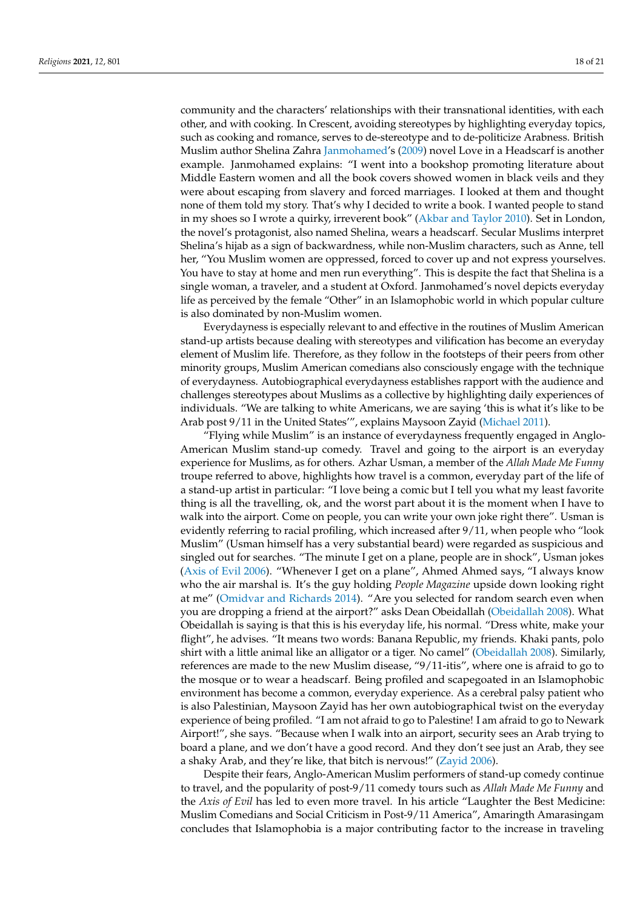community and the characters' relationships with their transnational identities, with each other, and with cooking. In Crescent, avoiding stereotypes by highlighting everyday topics, such as cooking and romance, serves to de-stereotype and to de-politicize Arabness. British Muslim author Shelina Zahra [Janmohamed'](#page-20-21)s [\(2009\)](#page-20-21) novel Love in a Headscarf is another example. Janmohamed explains: "I went into a bookshop promoting literature about Middle Eastern women and all the book covers showed women in black veils and they were about escaping from slavery and forced marriages. I looked at them and thought none of them told my story. That's why I decided to write a book. I wanted people to stand in my shoes so I wrote a quirky, irreverent book" [\(Akbar and Taylor](#page-19-16) [2010\)](#page-19-16). Set in London, the novel's protagonist, also named Shelina, wears a headscarf. Secular Muslims interpret Shelina's hijab as a sign of backwardness, while non-Muslim characters, such as Anne, tell her, "You Muslim women are oppressed, forced to cover up and not express yourselves. You have to stay at home and men run everything". This is despite the fact that Shelina is a single woman, a traveler, and a student at Oxford. Janmohamed's novel depicts everyday life as perceived by the female "Other" in an Islamophobic world in which popular culture is also dominated by non-Muslim women.

Everydayness is especially relevant to and effective in the routines of Muslim American stand-up artists because dealing with stereotypes and vilification has become an everyday element of Muslim life. Therefore, as they follow in the footsteps of their peers from other minority groups, Muslim American comedians also consciously engage with the technique of everydayness. Autobiographical everydayness establishes rapport with the audience and challenges stereotypes about Muslims as a collective by highlighting daily experiences of individuals. "We are talking to white Americans, we are saying 'this is what it's like to be Arab post 9/11 in the United States'", explains Maysoon Zayid [\(Michael](#page-20-22) [2011\)](#page-20-22).

"Flying while Muslim" is an instance of everydayness frequently engaged in Anglo-American Muslim stand-up comedy. Travel and going to the airport is an everyday experience for Muslims, as for others. Azhar Usman, a member of the *Allah Made Me Funny* troupe referred to above, highlights how travel is a common, everyday part of the life of a stand-up artist in particular: "I love being a comic but I tell you what my least favorite thing is all the travelling, ok, and the worst part about it is the moment when I have to walk into the airport. Come on people, you can write your own joke right there". Usman is evidently referring to racial profiling, which increased after 9/11, when people who "look Muslim" (Usman himself has a very substantial beard) were regarded as suspicious and singled out for searches. "The minute I get on a plane, people are in shock", Usman jokes [\(Axis of Evil](#page-19-6) [2006\)](#page-19-6). "Whenever I get on a plane", Ahmed Ahmed says, "I always know who the air marshal is. It's the guy holding *People Magazine* upside down looking right at me" [\(Omidvar and Richards](#page-20-10) [2014\)](#page-20-10). "Are you selected for random search even when you are dropping a friend at the airport?" asks Dean Obeidallah [\(Obeidallah](#page-20-23) [2008\)](#page-20-23). What Obeidallah is saying is that this is his everyday life, his normal. "Dress white, make your flight", he advises. "It means two words: Banana Republic, my friends. Khaki pants, polo shirt with a little animal like an alligator or a tiger. No camel" [\(Obeidallah](#page-20-23) [2008\)](#page-20-23). Similarly, references are made to the new Muslim disease, "9/11-itis", where one is afraid to go to the mosque or to wear a headscarf. Being profiled and scapegoated in an Islamophobic environment has become a common, everyday experience. As a cerebral palsy patient who is also Palestinian, Maysoon Zayid has her own autobiographical twist on the everyday experience of being profiled. "I am not afraid to go to Palestine! I am afraid to go to Newark Airport!", she says. "Because when I walk into an airport, security sees an Arab trying to board a plane, and we don't have a good record. And they don't see just an Arab, they see a shaky Arab, and they're like, that bitch is nervous!" [\(Zayid](#page-20-24) [2006\)](#page-20-24).

Despite their fears, Anglo-American Muslim performers of stand-up comedy continue to travel, and the popularity of post-9/11 comedy tours such as *Allah Made Me Funny* and the *Axis of Evil* has led to even more travel. In his article "Laughter the Best Medicine: Muslim Comedians and Social Criticism in Post-9/11 America", Amaringth Amarasingam concludes that Islamophobia is a major contributing factor to the increase in traveling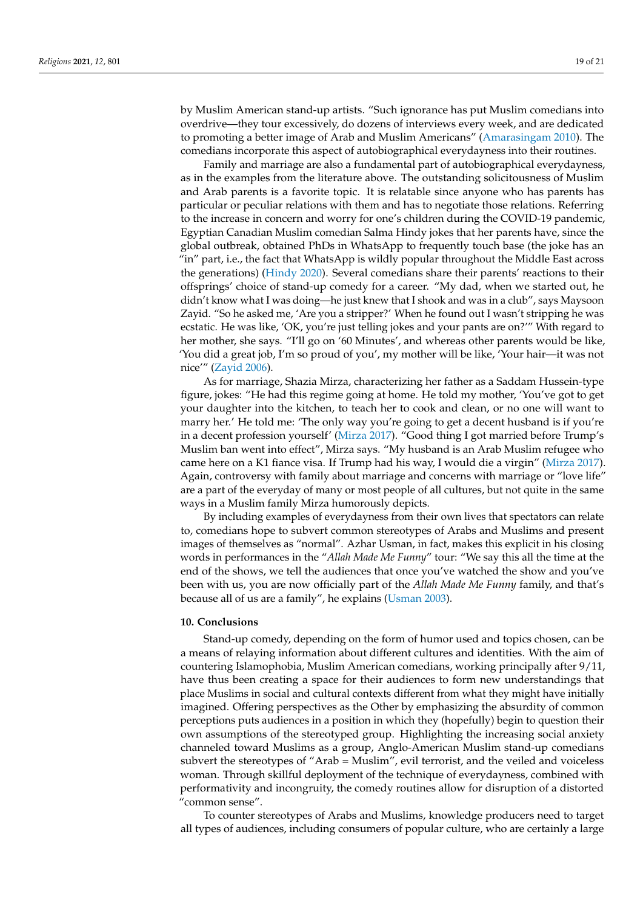by Muslim American stand-up artists. "Such ignorance has put Muslim comedians into overdrive—they tour excessively, do dozens of interviews every week, and are dedicated to promoting a better image of Arab and Muslim Americans" [\(Amarasingam](#page-19-4) [2010\)](#page-19-4). The comedians incorporate this aspect of autobiographical everydayness into their routines.

Family and marriage are also a fundamental part of autobiographical everydayness, as in the examples from the literature above. The outstanding solicitousness of Muslim and Arab parents is a favorite topic. It is relatable since anyone who has parents has particular or peculiar relations with them and has to negotiate those relations. Referring to the increase in concern and worry for one's children during the COVID-19 pandemic, Egyptian Canadian Muslim comedian Salma Hindy jokes that her parents have, since the global outbreak, obtained PhDs in WhatsApp to frequently touch base (the joke has an "in" part, i.e., the fact that WhatsApp is wildly popular throughout the Middle East across the generations) [\(Hindy](#page-20-25) [2020\)](#page-20-25). Several comedians share their parents' reactions to their offsprings' choice of stand-up comedy for a career. "My dad, when we started out, he didn't know what I was doing—he just knew that I shook and was in a club", says Maysoon Zayid. "So he asked me, 'Are you a stripper?' When he found out I wasn't stripping he was ecstatic. He was like, 'OK, you're just telling jokes and your pants are on?'" With regard to her mother, she says. "I'll go on '60 Minutes', and whereas other parents would be like, 'You did a great job, I'm so proud of you', my mother will be like, 'Your hair—it was not nice'" [\(Zayid](#page-20-24) [2006\)](#page-20-24).

As for marriage, Shazia Mirza, characterizing her father as a Saddam Hussein-type figure, jokes: "He had this regime going at home. He told my mother, 'You've got to get your daughter into the kitchen, to teach her to cook and clean, or no one will want to marry her.' He told me: 'The only way you're going to get a decent husband is if you're in a decent profession yourself' [\(Mirza](#page-20-11) [2017\)](#page-20-11). "Good thing I got married before Trump's Muslim ban went into effect", Mirza says. "My husband is an Arab Muslim refugee who came here on a K1 fiance visa. If Trump had his way, I would die a virgin" [\(Mirza](#page-20-11) [2017\)](#page-20-11). Again, controversy with family about marriage and concerns with marriage or "love life" are a part of the everyday of many or most people of all cultures, but not quite in the same ways in a Muslim family Mirza humorously depicts.

By including examples of everydayness from their own lives that spectators can relate to, comedians hope to subvert common stereotypes of Arabs and Muslims and present images of themselves as "normal". Azhar Usman, in fact, makes this explicit in his closing words in performances in the "*Allah Made Me Funny*" tour: "We say this all the time at the end of the shows, we tell the audiences that once you've watched the show and you've been with us, you are now officially part of the *Allah Made Me Funny* family, and that's because all of us are a family", he explains [\(Usman](#page-20-26) [2003\)](#page-20-26).

#### **10. Conclusions**

Stand-up comedy, depending on the form of humor used and topics chosen, can be a means of relaying information about different cultures and identities. With the aim of countering Islamophobia, Muslim American comedians, working principally after 9/11, have thus been creating a space for their audiences to form new understandings that place Muslims in social and cultural contexts different from what they might have initially imagined. Offering perspectives as the Other by emphasizing the absurdity of common perceptions puts audiences in a position in which they (hopefully) begin to question their own assumptions of the stereotyped group. Highlighting the increasing social anxiety channeled toward Muslims as a group, Anglo-American Muslim stand-up comedians subvert the stereotypes of "Arab = Muslim", evil terrorist, and the veiled and voiceless woman. Through skillful deployment of the technique of everydayness, combined with performativity and incongruity, the comedy routines allow for disruption of a distorted "common sense".

To counter stereotypes of Arabs and Muslims, knowledge producers need to target all types of audiences, including consumers of popular culture, who are certainly a large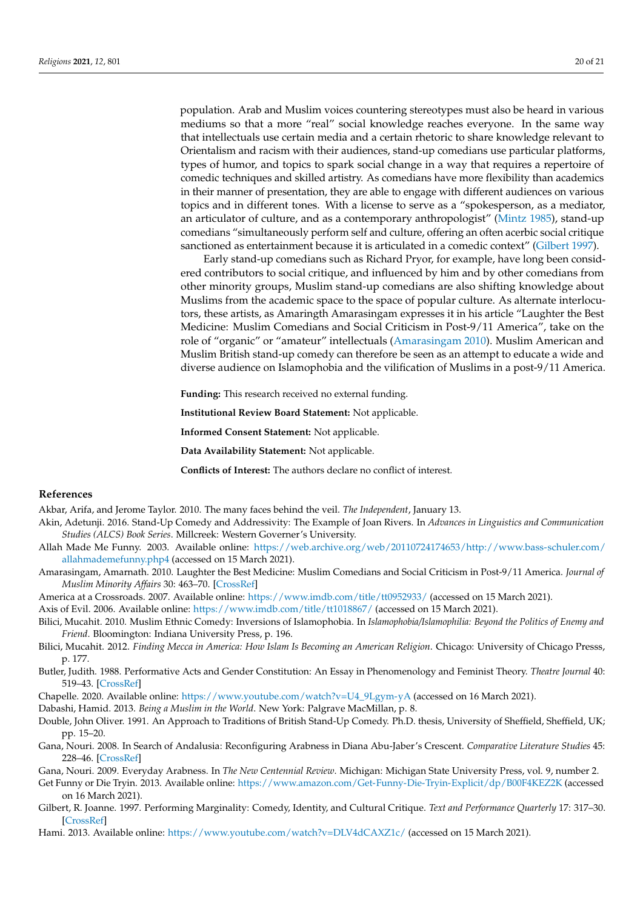population. Arab and Muslim voices countering stereotypes must also be heard in various mediums so that a more "real" social knowledge reaches everyone. In the same way that intellectuals use certain media and a certain rhetoric to share knowledge relevant to Orientalism and racism with their audiences, stand-up comedians use particular platforms, types of humor, and topics to spark social change in a way that requires a repertoire of comedic techniques and skilled artistry. As comedians have more flexibility than academics in their manner of presentation, they are able to engage with different audiences on various topics and in different tones. With a license to serve as a "spokesperson, as a mediator, an articulator of culture, and as a contemporary anthropologist" [\(Mintz](#page-20-27) [1985\)](#page-20-27), stand-up comedians "simultaneously perform self and culture, offering an often acerbic social critique sanctioned as entertainment because it is articulated in a comedic context" [\(Gilbert](#page-19-9) [1997\)](#page-19-9).

Early stand-up comedians such as Richard Pryor, for example, have long been considered contributors to social critique, and influenced by him and by other comedians from other minority groups, Muslim stand-up comedians are also shifting knowledge about Muslims from the academic space to the space of popular culture. As alternate interlocutors, these artists, as Amaringth Amarasingam expresses it in his article "Laughter the Best Medicine: Muslim Comedians and Social Criticism in Post-9/11 America", take on the role of "organic" or "amateur" intellectuals [\(Amarasingam](#page-19-4) [2010\)](#page-19-4). Muslim American and Muslim British stand-up comedy can therefore be seen as an attempt to educate a wide and diverse audience on Islamophobia and the vilification of Muslims in a post-9/11 America.

**Funding:** This research received no external funding.

**Institutional Review Board Statement:** Not applicable.

**Informed Consent Statement:** Not applicable.

**Data Availability Statement:** Not applicable.

**Conflicts of Interest:** The authors declare no conflict of interest.

#### **References**

- <span id="page-19-16"></span>Akbar, Arifa, and Jerome Taylor. 2010. The many faces behind the veil. *The Independent*, January 13.
- <span id="page-19-11"></span>Akin, Adetunji. 2016. Stand-Up Comedy and Addressivity: The Example of Joan Rivers. In *Advances in Linguistics and Communication Studies (ALCS) Book Series*. Millcreek: Western Governer's University.
- <span id="page-19-1"></span>Allah Made Me Funny. 2003. Available online: [https://web.archive.org/web/20110724174653/http://www.bass-schuler.com/](https://web.archive.org/web/20110724174653/http://www.bass-schuler.com/allahmademefunny.php4) [allahmademefunny.php4](https://web.archive.org/web/20110724174653/http://www.bass-schuler.com/allahmademefunny.php4) (accessed on 15 March 2021).
- <span id="page-19-4"></span>Amarasingam, Amarnath. 2010. Laughter the Best Medicine: Muslim Comedians and Social Criticism in Post-9/11 America. *Journal of Muslim Minority Affairs* 30: 463–70. [\[CrossRef\]](http://doi.org/10.1080/13602004.2010.533444)
- <span id="page-19-7"></span>America at a Crossroads. 2007. Available online: <https://www.imdb.com/title/tt0952933/> (accessed on 15 March 2021).

<span id="page-19-6"></span>Axis of Evil. 2006. Available online: <https://www.imdb.com/title/tt1018867/> (accessed on 15 March 2021).

- <span id="page-19-2"></span>Bilici, Mucahit. 2010. Muslim Ethnic Comedy: Inversions of Islamophobia. In *Islamophobia/Islamophilia: Beyond the Politics of Enemy and Friend*. Bloomington: Indiana University Press, p. 196.
- <span id="page-19-3"></span>Bilici, Mucahit. 2012. *Finding Mecca in America: How Islam Is Becoming an American Religion*. Chicago: University of Chicago Presss, p. 177.
- <span id="page-19-10"></span>Butler, Judith. 1988. Performative Acts and Gender Constitution: An Essay in Phenomenology and Feminist Theory. *Theatre Journal* 40: 519–43. [\[CrossRef\]](http://doi.org/10.2307/3207893)
- <span id="page-19-8"></span>Chapelle. 2020. Available online: [https://www.youtube.com/watch?v=U4\\_9Lgym-yA](https://www.youtube.com/watch?v=U4_9Lgym-yA) (accessed on 16 March 2021).
- <span id="page-19-13"></span>Dabashi, Hamid. 2013. *Being a Muslim in the World*. New York: Palgrave MacMillan, p. 8.
- <span id="page-19-0"></span>Double, John Oliver. 1991. An Approach to Traditions of British Stand-Up Comedy. Ph.D. thesis, University of Sheffield, Sheffield, UK; pp. 15–20.
- <span id="page-19-14"></span>Gana, Nouri. 2008. In Search of Andalusia: Reconfiguring Arabness in Diana Abu-Jaber's Crescent. *Comparative Literature Studies* 45: 228–46. [\[CrossRef\]](http://doi.org/10.1353/cls.0.0018)

<span id="page-19-15"></span>Gana, Nouri. 2009. Everyday Arabness. In *The New Centennial Review*. Michigan: Michigan State University Press, vol. 9, number 2.

<span id="page-19-5"></span>Get Funny or Die Tryin. 2013. Available online: <https://www.amazon.com/Get-Funny-Die-Tryin-Explicit/dp/B00F4KEZ2K> (accessed on 16 March 2021).

<span id="page-19-9"></span>Gilbert, R. Joanne. 1997. Performing Marginality: Comedy, Identity, and Cultural Critique. *Text and Performance Quarterly* 17: 317–30. [\[CrossRef\]](http://doi.org/10.1080/10462939709366196)

<span id="page-19-12"></span>Hami. 2013. Available online: <https://www.youtube.com/watch?v=DLV4dCAXZ1c/> (accessed on 15 March 2021).